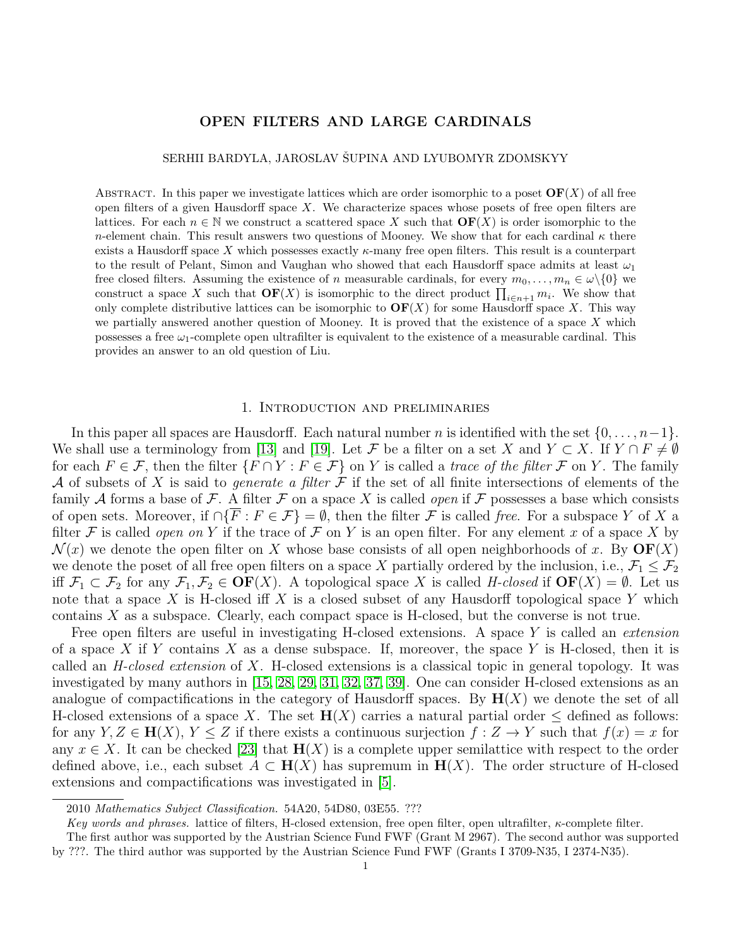# OPEN FILTERS AND LARGE CARDINALS

SERHII BARDYLA, JAROSLAV ŠUPINA AND LYUBOMYR ZDOMSKYY

ABSTRACT. In this paper we investigate lattices which are order isomorphic to a poset  $\mathbf{OF}(X)$  of all free open filters of a given Hausdorff space  $X$ . We characterize spaces whose posets of free open filters are lattices. For each  $n \in \mathbb{N}$  we construct a scattered space X such that  $\mathbf{OF}(X)$  is order isomorphic to the n-element chain. This result answers two questions of Mooney. We show that for each cardinal  $\kappa$  there exists a Hausdorff space X which possesses exactly  $\kappa$ -many free open filters. This result is a counterpart to the result of Pelant, Simon and Vaughan who showed that each Hausdorff space admits at least  $\omega_1$ free closed filters. Assuming the existence of n measurable cardinals, for every  $m_0, \ldots, m_n \in \omega \setminus \{0\}$  we construct a space X such that  $\mathbf{OF}(X)$  is isomorphic to the direct product  $\prod_{i\in n+1} m_i$ . We show that only complete distributive lattices can be isomorphic to  $\mathbf{OF}(X)$  for some Hausdorff space X. This way we partially answered another question of Mooney. It is proved that the existence of a space  $X$  which possesses a free  $\omega_1$ -complete open ultrafilter is equivalent to the existence of a measurable cardinal. This provides an answer to an old question of Liu.

## 1. Introduction and preliminaries

In this paper all spaces are Hausdorff. Each natural number n is identified with the set  $\{0, \ldots, n-1\}$ . We shall use a terminology from [\[13\]](#page-20-0) and [\[19\]](#page-20-1). Let F be a filter on a set X and  $Y \subset X$ . If  $Y \cap F \neq \emptyset$ for each  $F \in \mathcal{F}$ , then the filter  $\{F \cap Y : F \in \mathcal{F}\}$  on Y is called a trace of the filter  $\mathcal{F}$  on Y. The family A of subsets of X is said to *generate a filter*  $\mathcal F$  if the set of all finite intersections of elements of the family A forms a base of F. A filter F on a space X is called *open* if F possesses a base which consists of open sets. Moreover, if  $\cap \{\overline{F} : F \in \mathcal{F}\} = \emptyset$ , then the filter  $\mathcal F$  is called free. For a subspace Y of X a filter F is called open on Y if the trace of F on Y is an open filter. For any element x of a space X by  $\mathcal{N}(x)$  we denote the open filter on X whose base consists of all open neighborhoods of x. By  $\mathbf{OF}(X)$ we denote the poset of all free open filters on a space X partially ordered by the inclusion, i.e.,  $\mathcal{F}_1 \leq \mathcal{F}_2$ iff  $\mathcal{F}_1 \subset \mathcal{F}_2$  for any  $\mathcal{F}_1, \mathcal{F}_2 \in \mathbf{OF}(X)$ . A topological space X is called H-closed if  $\mathbf{OF}(X) = \emptyset$ . Let us note that a space X is H-closed iff X is a closed subset of any Hausdorff topological space Y which contains X as a subspace. Clearly, each compact space is H-closed, but the converse is not true.

Free open filters are useful in investigating H-closed extensions. A space Y is called an *extension* of a space X if Y contains X as a dense subspace. If, moreover, the space Y is H-closed, then it is called an  $H$ -closed extension of X. H-closed extensions is a classical topic in general topology. It was investigated by many authors in [\[15,](#page-20-2) [28,](#page-20-3) [29,](#page-20-4) [31,](#page-20-5) [32,](#page-20-6) [37,](#page-20-7) [39\]](#page-20-8). One can consider H-closed extensions as an analogue of compactifications in the category of Hausdorff spaces. By  $H(X)$  we denote the set of all H-closed extensions of a space X. The set  $H(X)$  carries a natural partial order  $\leq$  defined as follows: for any  $Y, Z \in \mathbf{H}(X), Y \leq Z$  if there exists a continuous surjection  $f: Z \to Y$  such that  $f(x) = x$  for any  $x \in X$ . It can be checked [\[23\]](#page-20-9) that  $\mathbf{H}(X)$  is a complete upper semilattice with respect to the order defined above, i.e., each subset  $A \subset H(X)$  has supremum in  $H(X)$ . The order structure of H-closed extensions and compactifications was investigated in [\[5\]](#page-19-0).

<sup>2010</sup> Mathematics Subject Classification. 54A20, 54D80, 03E55. ???

Key words and phrases. lattice of filters, H-closed extension, free open filter, open ultrafilter, κ-complete filter.

The first author was supported by the Austrian Science Fund FWF (Grant M 2967). The second author was supported by ???. The third author was supported by the Austrian Science Fund FWF (Grants I 3709-N35, I 2374-N35).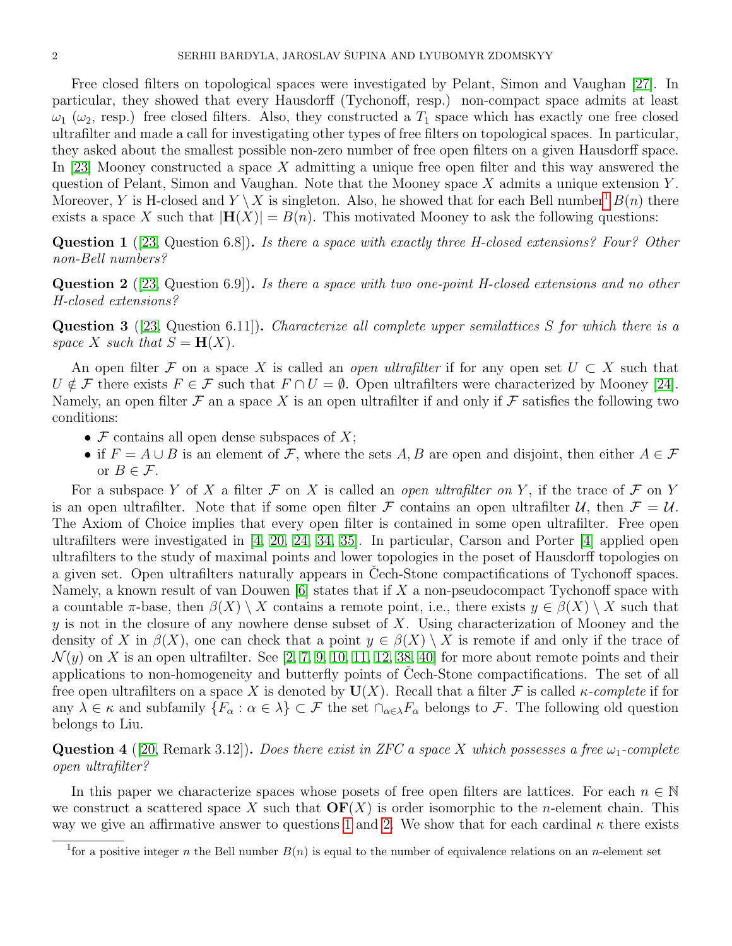Free closed filters on topological spaces were investigated by Pelant, Simon and Vaughan [\[27\]](#page-20-10). In particular, they showed that every Hausdorff (Tychonoff, resp.) non-compact space admits at least  $\omega_1$  ( $\omega_2$ , resp.) free closed filters. Also, they constructed a  $T_1$  space which has exactly one free closed ultrafilter and made a call for investigating other types of free filters on topological spaces. In particular, they asked about the smallest possible non-zero number of free open filters on a given Hausdorff space. In [\[23\]](#page-20-9) Mooney constructed a space X admitting a unique free open filter and this way answered the question of Pelant, Simon and Vaughan. Note that the Mooney space  $X$  admits a unique extension  $Y$ . Moreover, Y is H-closed and  $Y \setminus X$  is singleton. Also, he showed that for each Bell number<sup>[1](#page-1-0)</sup>  $B(n)$  there exists a space X such that  $|\mathbf{H}(X)| = B(n)$ . This motivated Mooney to ask the following questions:

<span id="page-1-1"></span>**Question 1** ([\[23,](#page-20-9) Question 6.8]). Is there a space with exactly three H-closed extensions? Four? Other non-Bell numbers?

<span id="page-1-2"></span>**Question 2** ([\[23,](#page-20-9) Question 6.9]). Is there a space with two one-point H-closed extensions and no other H-closed extensions?

<span id="page-1-3"></span>Question 3 ([\[23,](#page-20-9) Question 6.11]). Characterize all complete upper semilattices S for which there is a space X such that  $S = H(X)$ .

An open filter F on a space X is called an *open ultrafilter* if for any open set  $U \subset X$  such that  $U \notin \mathcal{F}$  there exists  $F \in \mathcal{F}$  such that  $F \cap U = \emptyset$ . Open ultrafilters were characterized by Mooney [\[24\]](#page-20-11). Namely, an open filter  $\mathcal F$  an a space X is an open ultrafilter if and only if  $\mathcal F$  satisfies the following two conditions:

- $\mathcal F$  contains all open dense subspaces of  $X$ ;
- if  $F = A \cup B$  is an element of F, where the sets A, B are open and disjoint, then either  $A \in \mathcal{F}$ or  $B \in \mathcal{F}$ .

For a subspace Y of X a filter  $\mathcal F$  on X is called an *open ultrafilter on* Y, if the trace of  $\mathcal F$  on Y is an open ultrafilter. Note that if some open filter F contains an open ultrafilter U, then  $\mathcal{F} = \mathcal{U}$ . The Axiom of Choice implies that every open filter is contained in some open ultrafilter. Free open ultrafilters were investigated in [\[4,](#page-19-1) [20,](#page-20-12) [24,](#page-20-11) [34,](#page-20-13) [35\]](#page-20-14). In particular, Carson and Porter [\[4\]](#page-19-1) applied open ultrafilters to the study of maximal points and lower topologies in the poset of Hausdorff topologies on a given set. Open ultrafilters naturally appears in Cech-Stone compactifications of Tychonoff spaces. Namely, a known result of van Douwen  $[6]$  states that if X a non-pseudocompact Tychonoff space with a countable  $\pi$ -base, then  $\beta(X) \setminus X$  contains a remote point, i.e., there exists  $y \in \beta(X) \setminus X$  such that y is not in the closure of any nowhere dense subset of  $X$ . Using characterization of Mooney and the density of X in  $\beta(X)$ , one can check that a point  $y \in \beta(X) \setminus X$  is remote if and only if the trace of  $\mathcal{N}(y)$  on X is an open ultrafilter. See [\[2,](#page-19-3) [7,](#page-20-15) [9,](#page-20-16) [10,](#page-20-17) [11,](#page-20-18) [12,](#page-20-19) [38,](#page-20-20) [40\]](#page-20-21) for more about remote points and their applications to non-homogeneity and butterfly points of Cech-Stone compactifications. The set of all free open ultrafilters on a space X is denoted by  $U(X)$ . Recall that a filter F is called *κ*-complete if for any  $\lambda \in \kappa$  and subfamily  $\{F_{\alpha}: \alpha \in \lambda\} \subset \mathcal{F}$  the set  $\cap_{\alpha \in \lambda} F_{\alpha}$  belongs to  $\mathcal{F}$ . The following old question belongs to Liu.

<span id="page-1-4"></span>**Question 4** ([\[20,](#page-20-12) Remark 3.12]). Does there exist in ZFC a space X which possesses a free  $\omega_1$ -complete open ultrafilter?

In this paper we characterize spaces whose posets of free open filters are lattices. For each  $n \in \mathbb{N}$ we construct a scattered space X such that  $\mathbf{OF}(X)$  is order isomorphic to the *n*-element chain. This way we give an affirmative answer to questions [1](#page-1-1) and [2.](#page-1-2) We show that for each cardinal  $\kappa$  there exists

<span id="page-1-0"></span><sup>&</sup>lt;sup>1</sup> for a positive integer n the Bell number  $B(n)$  is equal to the number of equivalence relations on an n-element set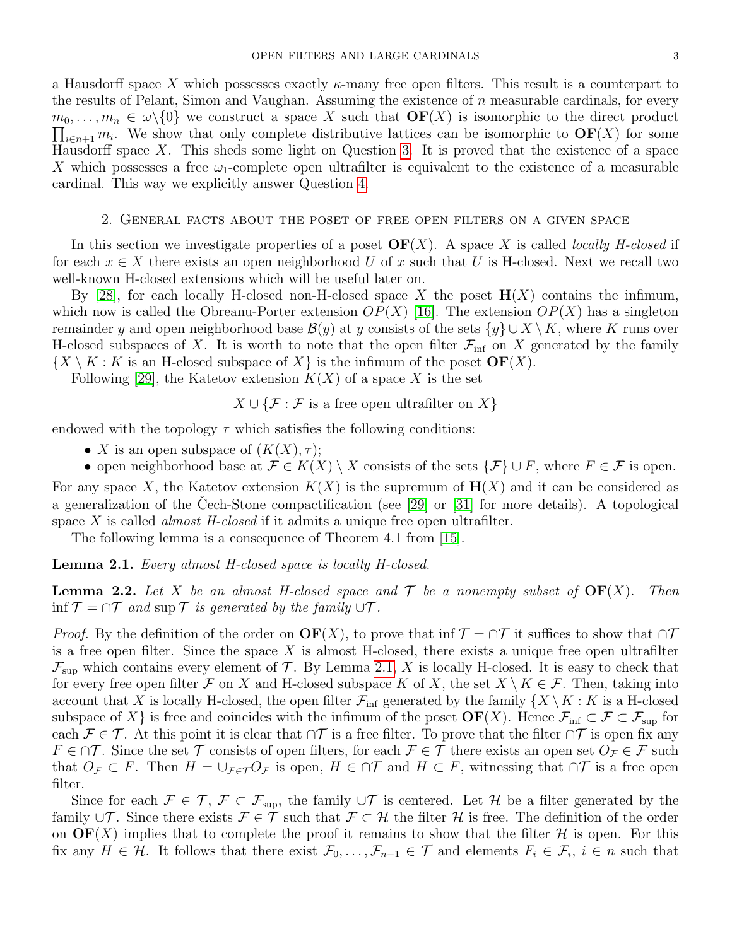a Hausdorff space X which possesses exactly  $\kappa$ -many free open filters. This result is a counterpart to the results of Pelant, Simon and Vaughan. Assuming the existence of  $n$  measurable cardinals, for every  $\prod_{i\in n+1} m_i$ . We show that only complete distributive lattices can be isomorphic to  $\mathbf{OF}(X)$  for some  $m_0, \ldots, m_n \in \omega \setminus \{0\}$  we construct a space X such that  $\mathbf{OF}(X)$  is isomorphic to the direct product Hausdorff space  $X$ . This sheds some light on Question [3.](#page-1-3) It is proved that the existence of a space X which possesses a free  $\omega_1$ -complete open ultrafilter is equivalent to the existence of a measurable cardinal. This way we explicitly answer Question [4.](#page-1-4)

### 2. General facts about the poset of free open filters on a given space

In this section we investigate properties of a poset  $\mathbf{OF}(X)$ . A space X is called *locally H-closed* if for each  $x \in X$  there exists an open neighborhood U of x such that  $\overline{U}$  is H-closed. Next we recall two well-known H-closed extensions which will be useful later on.

By [\[28\]](#page-20-3), for each locally H-closed non-H-closed space X the poset  $H(X)$  contains the infimum, which now is called the Obreanu-Porter extension  $OP(X)$  [\[16\]](#page-20-22). The extension  $OP(X)$  has a singleton remainder y and open neighborhood base  $\mathcal{B}(y)$  at y consists of the sets  $\{y\} \cup X \setminus K$ , where K runs over H-closed subspaces of X. It is worth to note that the open filter  $\mathcal{F}_{\text{inf}}$  on X generated by the family  $\{X \setminus K : K \text{ is an H-closed subspace of } X\}$  is the infimum of the poset  $\mathbf{OF}(X)$ .

Following [\[29\]](#page-20-4), the Katetov extension  $K(X)$  of a space X is the set

 $X \cup {\mathcal{F} : \mathcal{F}$  is a free open ultrafilter on  $X$ }

endowed with the topology  $\tau$  which satisfies the following conditions:

• X is an open subspace of  $(K(X), \tau)$ ;

• open neighborhood base at  $\mathcal{F} \in K(X) \setminus X$  consists of the sets  $\{\mathcal{F}\} \cup F$ , where  $F \in \mathcal{F}$  is open. For any space X, the Katetov extension  $K(X)$  is the supremum of  $H(X)$  and it can be considered as a generalization of the Cech-Stone compactification (see  $[29]$  or  $[31]$  for more details). A topological space X is called *almost H-closed* if it admits a unique free open ultrafilter.

The following lemma is a consequence of Theorem 4.1 from [\[15\]](#page-20-2).

<span id="page-2-0"></span>Lemma 2.1. Every almost H-closed space is locally H-closed.

<span id="page-2-1"></span>**Lemma 2.2.** Let X be an almost H-closed space and  $\mathcal T$  be a nonempty subset of  $\text{OF}(X)$ . Then inf  $\mathcal{T} = \cap \mathcal{T}$  and sup  $\mathcal{T}$  is generated by the family  $\cup \mathcal{T}$ .

*Proof.* By the definition of the order on  $\mathbf{OF}(X)$ , to prove that inf  $\mathcal{T} = \cap \mathcal{T}$  it suffices to show that  $\cap \mathcal{T}$ is a free open filter. Since the space  $X$  is almost H-closed, there exists a unique free open ultrafilter  $\mathcal{F}_{\text{sup}}$  which contains every element of  $\mathcal{T}$ . By Lemma [2.1,](#page-2-0) X is locally H-closed. It is easy to check that for every free open filter F on X and H-closed subspace K of X, the set  $X \setminus K \in \mathcal{F}$ . Then, taking into account that X is locally H-closed, the open filter  $\mathcal{F}_{\text{inf}}$  generated by the family  $\{X \setminus K : K \text{ is a H-closed}\}$ subspace of X} is free and coincides with the infimum of the poset  $\mathbf{OF}(X)$ . Hence  $\mathcal{F}_{\text{inf}} \subset \mathcal{F} \subset \mathcal{F}_{\text{sup}}$  for each  $\mathcal{F} \in \mathcal{T}$ . At this point it is clear that  $\cap \mathcal{T}$  is a free filter. To prove that the filter  $\cap \mathcal{T}$  is open fix any  $F \in \cap \mathcal{T}$ . Since the set  $\mathcal{T}$  consists of open filters, for each  $\mathcal{F} \in \mathcal{T}$  there exists an open set  $O_{\mathcal{F}} \in \mathcal{F}$  such that  $O_{\mathcal{F}} \subset F$ . Then  $H = \cup_{\mathcal{F} \in \mathcal{T}} O_{\mathcal{F}}$  is open,  $H \in \cap \mathcal{T}$  and  $H \subset F$ , witnessing that  $\cap \mathcal{T}$  is a free open filter.

Since for each  $\mathcal{F} \in \mathcal{T}, \mathcal{F} \subset \mathcal{F}_{\text{sup}}$ , the family  $\cup \mathcal{T}$  is centered. Let H be a filter generated by the family  $\cup \mathcal{T}$ . Since there exists  $\mathcal{F} \in \mathcal{T}$  such that  $\mathcal{F} \subset \mathcal{H}$  the filter  $\mathcal{H}$  is free. The definition of the order on  $\mathbf{OF}(X)$  implies that to complete the proof it remains to show that the filter H is open. For this fix any  $H \in \mathcal{H}$ . It follows that there exist  $\mathcal{F}_0, \ldots, \mathcal{F}_{n-1} \in \mathcal{T}$  and elements  $F_i \in \mathcal{F}_i$ ,  $i \in n$  such that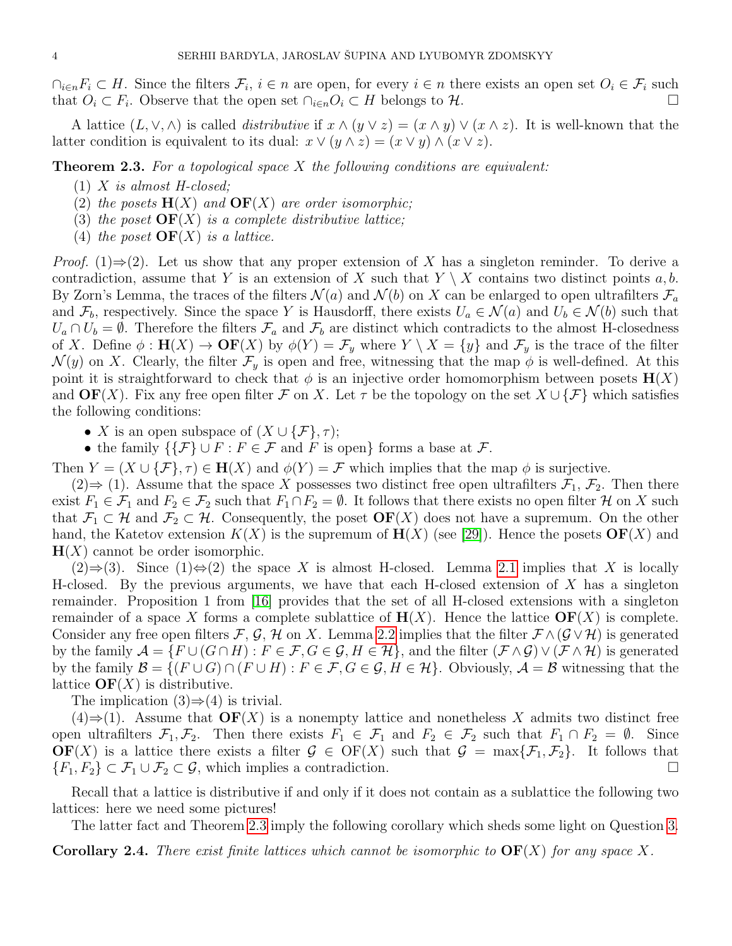$\cap_{i\in n}F_i\subset H$ . Since the filters  $\mathcal{F}_i$ ,  $i\in n$  are open, for every  $i\in n$  there exists an open set  $O_i\in\mathcal{F}_i$  such that  $O_i \subset F_i$ . Observe that the open set  $\cap_{i \in n} O_i \subset H$  belongs to  $\mathcal{H}$ .

A lattice  $(L, \vee, \wedge)$  is called *distributive* if  $x \wedge (y \vee z) = (x \wedge y) \vee (x \wedge z)$ . It is well-known that the latter condition is equivalent to its dual:  $x \vee (y \wedge z) = (x \vee y) \wedge (x \vee z)$ .

<span id="page-3-0"></span>**Theorem 2.3.** For a topological space X the following conditions are equivalent:

- $(1)$  X is almost H-closed;
- (2) the posets  $H(X)$  and  $\mathbf{OF}(X)$  are order isomorphic;
- (3) the poset  $\mathbf{OF}(X)$  is a complete distributive lattice;
- (4) the poset  $\mathbf{OF}(X)$  is a lattice.

*Proof.* (1)⇒(2). Let us show that any proper extension of X has a singleton reminder. To derive a contradiction, assume that Y is an extension of X such that  $Y \setminus X$  contains two distinct points a, b. By Zorn's Lemma, the traces of the filters  $\mathcal{N}(a)$  and  $\mathcal{N}(b)$  on X can be enlarged to open ultrafilters  $\mathcal{F}_a$ and  $\mathcal{F}_b$ , respectively. Since the space Y is Hausdorff, there exists  $U_a \in \mathcal{N}(a)$  and  $U_b \in \mathcal{N}(b)$  such that  $U_a \cap U_b = \emptyset$ . Therefore the filters  $\mathcal{F}_a$  and  $\mathcal{F}_b$  are distinct which contradicts to the almost H-closedness of X. Define  $\phi : \mathbf{H}(X) \to \mathbf{OF}(X)$  by  $\phi(Y) = \mathcal{F}_y$  where  $Y \setminus X = \{y\}$  and  $\mathcal{F}_y$  is the trace of the filter  $\mathcal{N}(y)$  on X. Clearly, the filter  $\mathcal{F}_y$  is open and free, witnessing that the map  $\phi$  is well-defined. At this point it is straightforward to check that  $\phi$  is an injective order homomorphism between posets  $\mathbf{H}(X)$ and  $\mathbf{OF}(X)$ . Fix any free open filter F on X. Let  $\tau$  be the topology on the set  $X \cup {\{\mathcal{F}\}}$  which satisfies the following conditions:

• X is an open subspace of  $(X \cup {\mathcal{F}}, \tau);$ 

• the family  $\{ \{ \mathcal{F} \} \cup F : F \in \mathcal{F} \text{ and } F \text{ is open} \}$  forms a base at  $\mathcal{F}$ .

Then  $Y = (X \cup {\mathcal{F}}, \tau) \in H(X)$  and  $\phi(Y) = \mathcal{F}$  which implies that the map  $\phi$  is surjective.

 $(2) \Rightarrow (1)$ . Assume that the space X possesses two distinct free open ultrafilters  $\mathcal{F}_1$ ,  $\mathcal{F}_2$ . Then there exist  $F_1 \in \mathcal{F}_1$  and  $F_2 \in \mathcal{F}_2$  such that  $F_1 \cap F_2 = \emptyset$ . It follows that there exists no open filter  $\mathcal{H}$  on X such that  $\mathcal{F}_1 \subset \mathcal{H}$  and  $\mathcal{F}_2 \subset \mathcal{H}$ . Consequently, the poset  $\mathbf{OF}(X)$  does not have a supremum. On the other hand, the Katetov extension  $K(X)$  is the supremum of  $\mathbf{H}(X)$  (see [\[29\]](#page-20-4)). Hence the posets  $\mathbf{OF}(X)$  and  $H(X)$  cannot be order isomorphic.

 $(2) \Rightarrow (3)$ . Since  $(1) \Leftrightarrow (2)$  the space X is almost H-closed. Lemma [2.1](#page-2-0) implies that X is locally H-closed. By the previous arguments, we have that each H-closed extension of  $X$  has a singleton remainder. Proposition 1 from [\[16\]](#page-20-22) provides that the set of all H-closed extensions with a singleton remainder of a space X forms a complete sublattice of  $H(X)$ . Hence the lattice  $\mathbf{OF}(X)$  is complete. Consider any free open filters F, G, H on X. Lemma [2.2](#page-2-1) implies that the filter  $\mathcal{F} \wedge (\mathcal{G} \vee \mathcal{H})$  is generated by the family  $\mathcal{A} = \{F \cup (G \cap H) : F \in \mathcal{F}, G \in \mathcal{G}, H \in \mathcal{H}\}\$ , and the filter  $(\mathcal{F} \wedge \mathcal{G}) \vee (\mathcal{F} \wedge \mathcal{H})$  is generated by the family  $\mathcal{B} = \{(F \cup G) \cap (F \cup H) : F \in \mathcal{F}, G \in \mathcal{G}, H \in \mathcal{H}\}\)$ . Obviously,  $\mathcal{A} = \mathcal{B}$  witnessing that the lattice  $\mathbf{OF}(X)$  is distributive.

The implication  $(3) \Rightarrow (4)$  is trivial.

 $(4) \Rightarrow (1)$ . Assume that  $\mathbf{OF}(X)$  is a nonempty lattice and nonetheless X admits two distinct free open ultrafilters  $\mathcal{F}_1, \mathcal{F}_2$ . Then there exists  $F_1 \in \mathcal{F}_1$  and  $F_2 \in \mathcal{F}_2$  such that  $F_1 \cap F_2 = \emptyset$ . Since  $\mathbf{OF}(X)$  is a lattice there exists a filter  $\mathcal{G} \in \mathrm{OF}(X)$  such that  $\mathcal{G} = \max\{\mathcal{F}_1,\mathcal{F}_2\}$ . It follows that  ${F_1, F_2} \subset F_1 \cup F_2 \subset \mathcal{G}$ , which implies a contradiction.

Recall that a lattice is distributive if and only if it does not contain as a sublattice the following two lattices: here we need some pictures!

The latter fact and Theorem [2.3](#page-3-0) imply the following corollary which sheds some light on Question [3.](#page-1-3)

<span id="page-3-1"></span>**Corollary 2.4.** There exist finite lattices which cannot be isomorphic to  $\text{OF}(X)$  for any space X.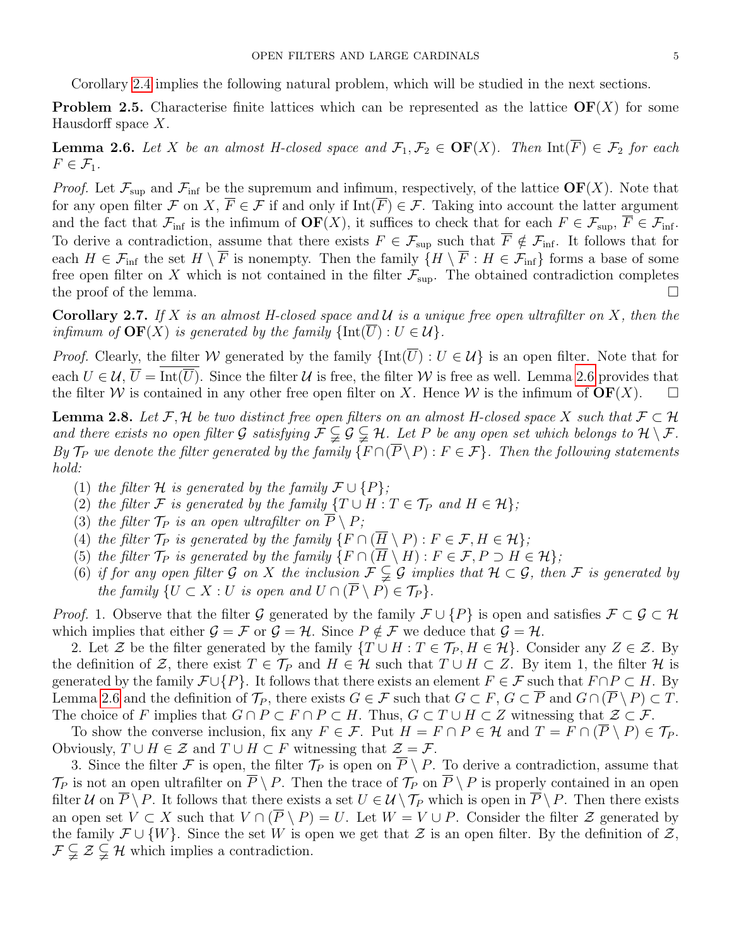Corollary [2.4](#page-3-1) implies the following natural problem, which will be studied in the next sections.

<span id="page-4-1"></span>**Problem 2.5.** Characterise finite lattices which can be represented as the lattice  $\mathbf{OF}(X)$  for some Hausdorff space X.

<span id="page-4-0"></span>**Lemma 2.6.** Let X be an almost H-closed space and  $\mathcal{F}_1, \mathcal{F}_2 \in \mathbf{OF}(X)$ . Then  $\mathrm{Int}(F) \in \mathcal{F}_2$  for each  $F \in \mathcal{F}_1$ .

*Proof.* Let  $\mathcal{F}_{\text{sup}}$  and  $\mathcal{F}_{\text{inf}}$  be the supremum and infimum, respectively, of the lattice  $\text{OF}(X)$ . Note that for any open filter F on X,  $\overline{F} \in \mathcal{F}$  if and only if Int( $\overline{F}$ )  $\in \mathcal{F}$ . Taking into account the latter argument and the fact that  $\mathcal{F}_{\text{inf}}$  is the infimum of  $\text{OF}(X)$ , it suffices to check that for each  $F \in \mathcal{F}_{\text{sup}}$ ,  $\overline{F} \in \mathcal{F}_{\text{inf}}$ . To derive a contradiction, assume that there exists  $F \in \mathcal{F}_{\text{sup}}$  such that  $\overline{F} \notin \mathcal{F}_{\text{inf}}$ . It follows that for each  $H \in \mathcal{F}_{\text{inf}}$  the set  $H \setminus \overline{F}$  is nonempty. Then the family  $\{H \setminus \overline{F} : H \in \mathcal{F}_{\text{inf}}\}$  forms a base of some free open filter on X which is not contained in the filter  $\mathcal{F}_{\text{sup}}$ . The obtained contradiction completes the proof of the lemma.  $\Box$ 

<span id="page-4-2"></span>**Corollary 2.7.** If X is an almost H-closed space and U is a unique free open ultrafilter on X, then the infimum of  $\mathbf{OF}(X)$  is generated by the family  $\{\text{Int}(U) : U \in \mathcal{U}\}.$ 

*Proof.* Clearly, the filter W generated by the family  $\{\text{Int}(\overline{U}) : U \in \mathcal{U}\}\$ is an open filter. Note that for each  $U \in \mathcal{U}, \overline{U} = \overline{\text{Int}(\overline{U})}$ . Since the filter  $\mathcal U$  is free, the filter W is free as well. Lemma [2.6](#page-4-0) provides that the filter W is contained in any other free open filter on X. Hence W is the infimum of  $\mathbf{OF}(X)$ .  $\Box$ 

**Lemma 2.8.** Let F, H be two distinct free open filters on an almost H-closed space X such that  $\mathcal{F} \subset \mathcal{H}$ and there exists no open filter G satisfying  $\mathcal{F} \subsetneq \mathcal{G} \subsetneq \mathcal{H}$ . Let P be any open set which belongs to  $\mathcal{H} \setminus \mathcal{F}$ . By  $\mathcal{T}_P$  we denote the filter generated by the family  $\{F \cap (\overline{P} \setminus P) : F \in \mathcal{F}\}\$ . Then the following statements hold:

- (1) the filter H is generated by the family  $\mathcal{F} \cup \{P\}$ ;
- (2) the filter F is generated by the family  $\{T \cup H : T \in \mathcal{T}_P \text{ and } H \in \mathcal{H}\};$
- (3) the filter  $\mathcal{T}_P$  is an open ultrafilter on  $\overline{P} \setminus P$ ;
- (4) the filter  $\mathcal{T}_P$  is generated by the family  $\{F \cap (\overline{H} \setminus P) : F \in \mathcal{F}, H \in \mathcal{H}\};$
- (5) the filter  $\mathcal{T}_P$  is generated by the family  $\{F \cap (\overline{H} \setminus H) : F \in \mathcal{F}, P \supset H \in \mathcal{H}\};$
- (6) if for any open filter G on X the inclusion  $\mathcal{F} \subsetneq \mathcal{G}$  implies that  $\mathcal{H} \subset \mathcal{G}$ , then F is generated by the family  $\{U \subset X : U$  is open and  $U \cap (\overline{P} \setminus P) \in \mathcal{T}_P\}.$

*Proof.* 1. Observe that the filter G generated by the family  $\mathcal{F} \cup \{P\}$  is open and satisfies  $\mathcal{F} \subset \mathcal{G} \subset \mathcal{H}$ which implies that either  $\mathcal{G} = \mathcal{F}$  or  $\mathcal{G} = \mathcal{H}$ . Since  $P \notin \mathcal{F}$  we deduce that  $\mathcal{G} = \mathcal{H}$ .

2. Let Z be the filter generated by the family  $\{T \cup H : T \in \mathcal{T}_P, H \in \mathcal{H}\}\)$ . Consider any  $Z \in \mathcal{Z}$ . By the definition of Z, there exist  $T \in \mathcal{T}_P$  and  $H \in \mathcal{H}$  such that  $T \cup H \subset Z$ . By item 1, the filter  $\mathcal{H}$  is generated by the family  $\mathcal{F} \cup \{P\}$ . It follows that there exists an element  $F \in \mathcal{F}$  such that  $F \cap P \subset H$ . By Lemma [2.6](#page-4-0) and the definition of  $\mathcal{T}_P$ , there exists  $G \in \mathcal{F}$  such that  $G \subset F$ ,  $G \subset \overline{P}$  and  $G \cap (\overline{P} \setminus P) \subset T$ . The choice of F implies that  $G \cap P \subset F \cap P \subset H$ . Thus,  $G \subset T \cup H \subset Z$  witnessing that  $\mathcal{Z} \subset \mathcal{F}$ .

To show the converse inclusion, fix any  $F \in \mathcal{F}$ . Put  $H = F \cap P \in \mathcal{H}$  and  $T = F \cap (\overline{P} \setminus P) \in \mathcal{T}_P$ . Obviously,  $T \cup H \in \mathcal{Z}$  and  $T \cup H \subset F$  witnessing that  $\mathcal{Z} = \mathcal{F}$ .

3. Since the filter F is open, the filter  $\mathcal{T}_P$  is open on  $\overline{P} \setminus P$ . To derive a contradiction, assume that  $\mathcal{T}_P$  is not an open ultrafilter on  $\overline{P} \setminus P$ . Then the trace of  $\mathcal{T}_P$  on  $\overline{P} \setminus P$  is properly contained in an open filter  $U$  on  $\overline{P} \setminus P$ . It follows that there exists a set  $U \in \mathcal{U} \setminus \mathcal{T}_P$  which is open in  $\overline{P} \setminus P$ . Then there exists an open set  $V \subset X$  such that  $V \cap (\overline{P} \setminus P) = U$ . Let  $W = V \cup P$ . Consider the filter  $\mathcal Z$  generated by the family  $\mathcal{F} \cup \{W\}$ . Since the set W is open we get that  $\mathcal{Z}$  is an open filter. By the definition of  $\mathcal{Z}$ ,  $\mathcal{F}\subsetneq\mathcal{Z}\subsetneq\mathcal{H}$  which implies a contradiction.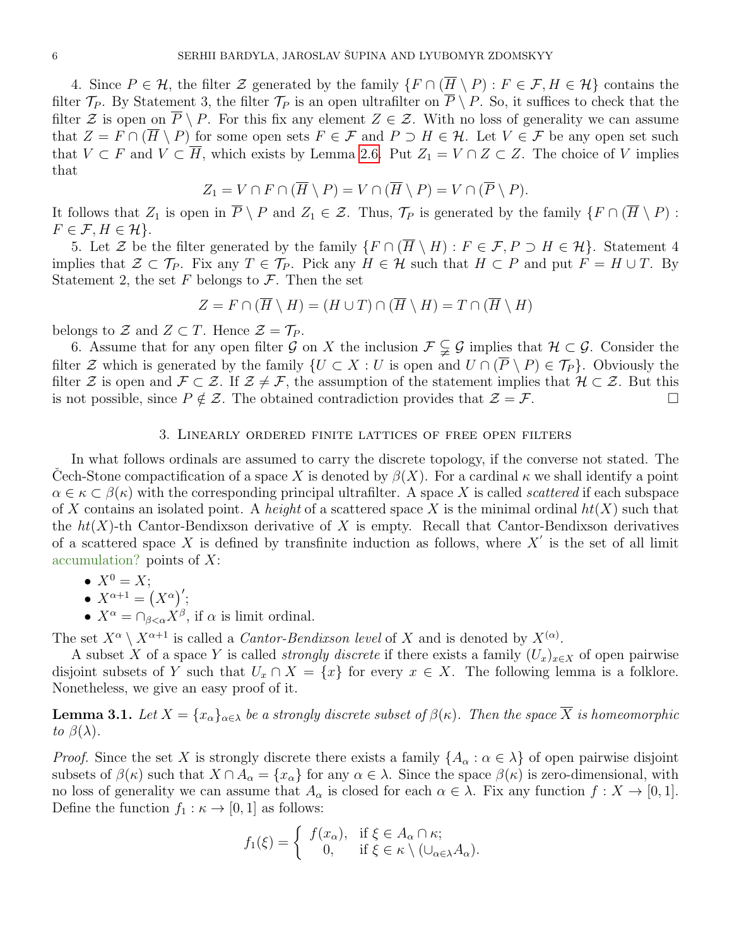4. Since  $P \in \mathcal{H}$ , the filter  $\mathcal Z$  generated by the family  $\{F \cap (\overline{H} \setminus P) : F \in \mathcal F, H \in \mathcal{H}\}$  contains the filter  $\mathcal{T}_P$ . By Statement 3, the filter  $\mathcal{T}_P$  is an open ultrafilter on  $\overline{P} \setminus P$ . So, it suffices to check that the filter Z is open on  $\overline{P} \setminus P$ . For this fix any element  $Z \in \mathcal{Z}$ . With no loss of generality we can assume that  $Z = F \cap (H \setminus P)$  for some open sets  $F \in \mathcal{F}$  and  $P \supset H \in \mathcal{H}$ . Let  $V \in \mathcal{F}$  be any open set such that  $V \subset F$  and  $V \subset \overline{H}$ , which exists by Lemma [2.6.](#page-4-0) Put  $Z_1 = V \cap Z \subset Z$ . The choice of V implies that

$$
Z_1 = V \cap F \cap (\overline{H} \setminus P) = V \cap (\overline{H} \setminus P) = V \cap (\overline{P} \setminus P).
$$

It follows that  $Z_1$  is open in  $\overline{P} \setminus P$  and  $Z_1 \in \mathcal{Z}$ . Thus,  $\mathcal{T}_P$  is generated by the family  $\{F \cap (\overline{H} \setminus P)$ :  $F \in \mathcal{F}, H \in \mathcal{H}\}.$ 

5. Let Z be the filter generated by the family  $\{F \cap (\overline{H} \setminus H) : F \in \mathcal{F}, P \supset H \in \mathcal{H}\}\)$ . Statement 4 implies that  $\mathcal{Z} \subset \mathcal{T}_P$ . Fix any  $T \in \mathcal{T}_P$ . Pick any  $H \in \mathcal{H}$  such that  $H \subset P$  and put  $F = H \cup T$ . By Statement 2, the set F belongs to  $\mathcal F$ . Then the set

$$
Z = F \cap (\overline{H} \setminus H) = (H \cup T) \cap (\overline{H} \setminus H) = T \cap (\overline{H} \setminus H)
$$

belongs to  $\mathcal Z$  and  $Z \subset T$ . Hence  $\mathcal Z = \mathcal T_P$ .

6. Assume that for any open filter G on X the inclusion  $\mathcal{F} \subsetneq \mathcal{G}$  implies that  $\mathcal{H} \subset \mathcal{G}$ . Consider the filter Z which is generated by the family  $\{U \subset X : U$  is open and  $U \cap (\overline{P} \setminus P) \in \mathcal{T}_P\}$ . Obviously the filter Z is open and  $\mathcal{F} \subset \mathcal{Z}$ . If  $\mathcal{Z} \neq \mathcal{F}$ , the assumption of the statement implies that  $\mathcal{H} \subset \mathcal{Z}$ . But this is not possible, since  $P \notin \mathcal{Z}$ . The obtained contradiction provides that  $\mathcal{Z} = \mathcal{F}$ .

#### 3. Linearly ordered finite lattices of free open filters

In what follows ordinals are assumed to carry the discrete topology, if the converse not stated. The Cech-Stone compactification of a space X is denoted by  $\beta(X)$ . For a cardinal  $\kappa$  we shall identify a point  $\alpha \in \kappa \subset \beta(\kappa)$  with the corresponding principal ultrafilter. A space X is called *scattered* if each subspace of X contains an isolated point. A height of a scattered space X is the minimal ordinal  $ht(X)$  such that the  $ht(X)$ -th Cantor-Bendixson derivative of X is empty. Recall that Cantor-Bendixson derivatives of a scattered space X is defined by transfinite induction as follows, where  $X'$  is the set of all limit accumulation? points of  $X$ :

$$
\bullet \; X^0 = X;
$$

• 
$$
X^{\alpha+1} = (X^{\alpha})'
$$
;

•  $X^{\alpha} = \bigcap_{\beta < \alpha} X^{\beta}$ , if  $\alpha$  is limit ordinal.

The set  $X^{\alpha} \setminus X^{\alpha+1}$  is called a *Cantor-Bendixson level* of X and is denoted by  $X^{(\alpha)}$ .

A subset X of a space Y is called *strongly discrete* if there exists a family  $(U_x)_{x\in X}$  of open pairwise disjoint subsets of Y such that  $U_x \cap X = \{x\}$  for every  $x \in X$ . The following lemma is a folklore. Nonetheless, we give an easy proof of it.

<span id="page-5-0"></span>**Lemma 3.1.** Let  $X = \{x_{\alpha}\}_{{\alpha \in \lambda}}$  be a strongly discrete subset of  $\beta(\kappa)$ . Then the space  $\overline{X}$  is homeomorphic to  $\beta(\lambda)$ .

*Proof.* Since the set X is strongly discrete there exists a family  $\{A_\alpha : \alpha \in \lambda\}$  of open pairwise disjoint subsets of  $\beta(\kappa)$  such that  $X \cap A_\alpha = \{x_\alpha\}$  for any  $\alpha \in \lambda$ . Since the space  $\beta(\kappa)$  is zero-dimensional, with no loss of generality we can assume that  $A_{\alpha}$  is closed for each  $\alpha \in \lambda$ . Fix any function  $f: X \to [0,1]$ . Define the function  $f_1 : \kappa \to [0, 1]$  as follows:

$$
f_1(\xi) = \begin{cases} f(x_\alpha), & \text{if } \xi \in A_\alpha \cap \kappa; \\ 0, & \text{if } \xi \in \kappa \setminus (\cup_{\alpha \in \lambda} A_\alpha). \end{cases}
$$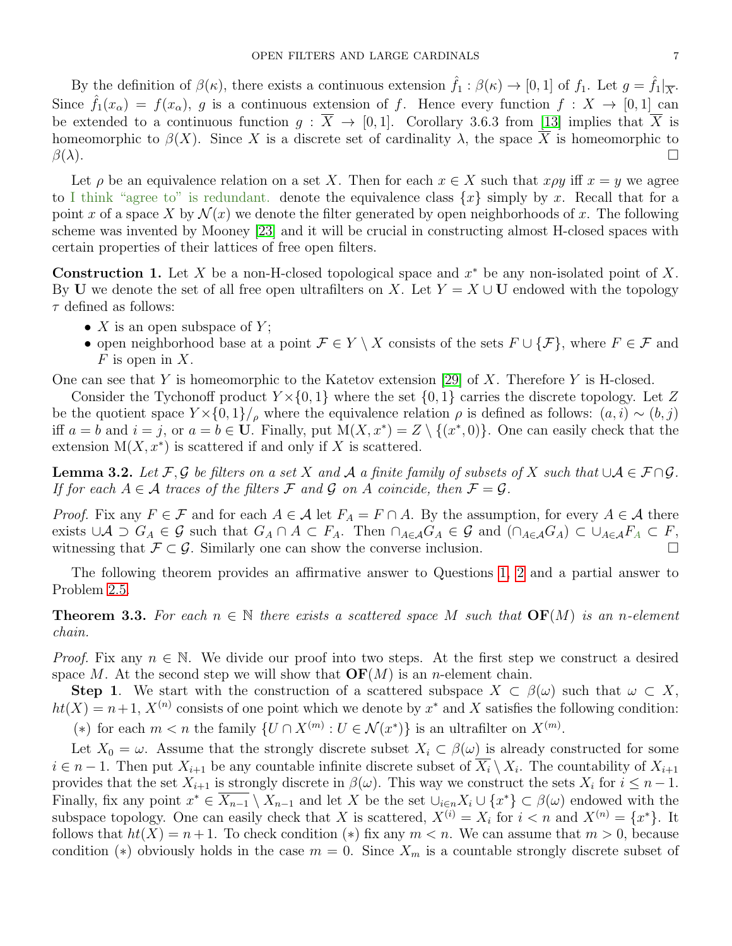By the definition of  $\beta(\kappa)$ , there exists a continuous extension  $\hat{f}_1 : \beta(\kappa) \to [0,1]$  of  $f_1$ . Let  $g = \hat{f}_1|_{\overline{X}}$ . Since  $\hat{f}_1(x_\alpha) = f(x_\alpha)$ , g is a continuous extension of f. Hence every function  $f: X \to [0,1]$  can be extended to a continuous function  $g : \overline{X} \to [0,1]$ . Corollary 3.6.3 from [\[13\]](#page-20-0) implies that  $\overline{X}$  is homeomorphic to  $\beta(X)$ . Since X is a discrete set of cardinality  $\lambda$ , the space  $\overline{X}$  is homeomorphic to  $\beta(\lambda)$ .

Let  $\rho$  be an equivalence relation on a set X. Then for each  $x \in X$  such that  $x \rho y$  iff  $x = y$  we agree to I think "agree to" is redundant. denote the equivalence class  $\{x\}$  simply by x. Recall that for a point x of a space X by  $\mathcal{N}(x)$  we denote the filter generated by open neighborhoods of x. The following scheme was invented by Mooney [\[23\]](#page-20-9) and it will be crucial in constructing almost H-closed spaces with certain properties of their lattices of free open filters.

<span id="page-6-0"></span>**Construction 1.** Let X be a non-H-closed topological space and  $x^*$  be any non-isolated point of X. By U we denote the set of all free open ultrafilters on X. Let  $Y = X \cup U$  endowed with the topology  $\tau$  defined as follows:

- $X$  is an open subspace of  $Y$ ;
- open neighborhood base at a point  $\mathcal{F} \in Y \setminus X$  consists of the sets  $F \cup \{F\}$ , where  $F \in \mathcal{F}$  and  $F$  is open in X.

One can see that Y is homeomorphic to the Katetov extension [\[29\]](#page-20-4) of X. Therefore Y is H-closed.

Consider the Tychonoff product  $Y \times \{0, 1\}$  where the set  $\{0, 1\}$  carries the discrete topology. Let Z be the quotient space  $Y \times \{0,1\}'$ , where the equivalence relation  $\rho$  is defined as follows:  $(a, i) \sim (b, j)$ iff  $a = b$  and  $i = j$ , or  $a = b \in U$ . Finally, put  $M(X, x^*) = Z \setminus \{(x^*, 0)\}\)$ . One can easily check that the extension  $M(X, x^*)$  is scattered if and only if X is scattered.

<span id="page-6-1"></span>**Lemma 3.2.** Let F, G be filters on a set X and A a finite family of subsets of X such that  $\cup A \in F \cap G$ . If for each  $A \in \mathcal{A}$  traces of the filters  $\mathcal{F}$  and  $\mathcal{G}$  on  $A$  coincide, then  $\mathcal{F} = \mathcal{G}$ .

*Proof.* Fix any  $F \in \mathcal{F}$  and for each  $A \in \mathcal{A}$  let  $F_A = F \cap A$ . By the assumption, for every  $A \in \mathcal{A}$  there exists  $\cup A \supset G_A \in \mathcal{G}$  such that  $G_A \cap A \subset F_A$ . Then  $\cap_{A \in \mathcal{A}} G_A \in \mathcal{G}$  and  $(\cap_{A \in \mathcal{A}} G_A) \subset \cup_{A \in \mathcal{A}} F_A \subset F$ , witnessing that  $\mathcal{F} \subset \mathcal{G}$ . Similarly one can show the converse inclusion.

The following theorem provides an affirmative answer to Questions [1,](#page-1-1) [2](#page-1-2) and a partial answer to Problem [2.5.](#page-4-1)

<span id="page-6-2"></span>**Theorem 3.3.** For each  $n \in \mathbb{N}$  there exists a scattered space M such that  $\text{OF}(M)$  is an n-element chain.

*Proof.* Fix any  $n \in \mathbb{N}$ . We divide our proof into two steps. At the first step we construct a desired space M. At the second step we will show that  $\mathbf{OF}(M)$  is an n-element chain.

**Step 1.** We start with the construction of a scattered subspace  $X \subset \beta(\omega)$  such that  $\omega \subset X$ ,  $ht(X) = n+1$ ,  $X^{(n)}$  consists of one point which we denote by  $x^*$  and X satisfies the following condition: (\*) for each  $m < n$  the family  $\{U \cap X^{(m)} : U \in \mathcal{N}(x^*)\}$  is an ultrafilter on  $X^{(m)}$ .

Let  $X_0 = \omega$ . Assume that the strongly discrete subset  $X_i \subset \beta(\omega)$  is already constructed for some  $i \in n-1$ . Then put  $X_{i+1}$  be any countable infinite discrete subset of  $\overline{X_i} \setminus X_i$ . The countability of  $X_{i+1}$ provides that the set  $X_{i+1}$  is strongly discrete in  $\beta(\omega)$ . This way we construct the sets  $X_i$  for  $i \leq n-1$ . Finally, fix any point  $x^* \in \overline{X_{n-1}} \setminus X_{n-1}$  and let X be the set  $\cup_{i \in n} X_i \cup \{x^*\} \subset \beta(\omega)$  endowed with the subspace topology. One can easily check that X is scattered,  $X^{(i)} = X_i$  for  $i < n$  and  $X^{(n)} = \{x^*\}$ . It follows that  $ht(X) = n + 1$ . To check condition (\*) fix any  $m < n$ . We can assume that  $m > 0$ , because condition (\*) obviously holds in the case  $m = 0$ . Since  $X_m$  is a countable strongly discrete subset of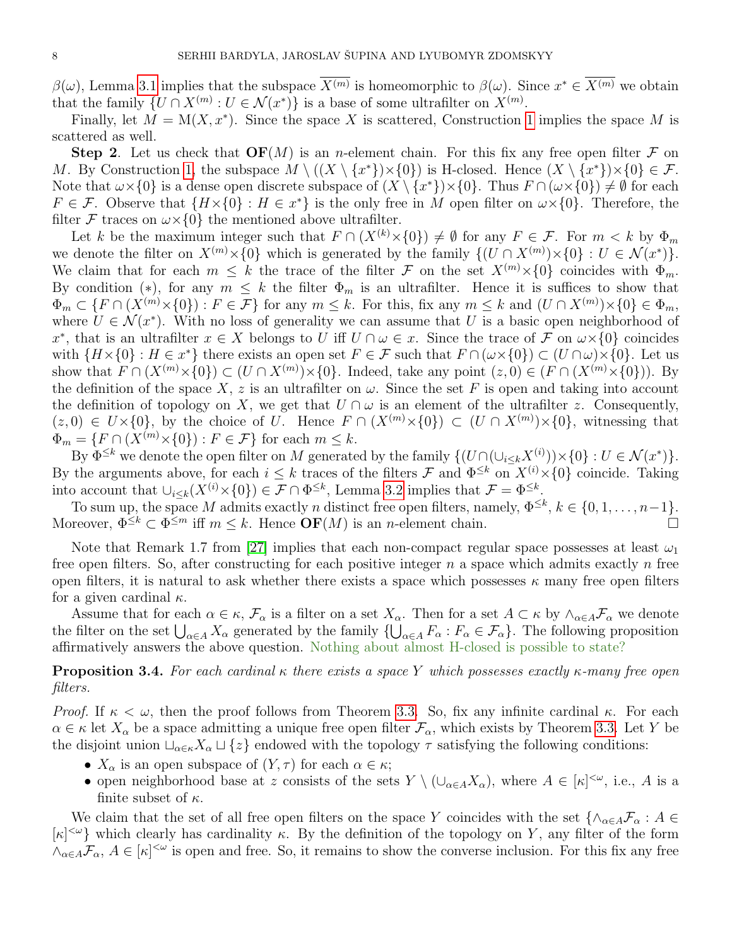$\beta(\omega)$ , Lemma [3.1](#page-5-0) implies that the subspace  $\overline{X^{(m)}}$  is homeomorphic to  $\beta(\omega)$ . Since  $x^* \in \overline{X^{(m)}}$  we obtain that the family  $\{U \cap X^{(m)} : U \in \mathcal{N}(x^*)\}$  is a base of some ultrafilter on  $X^{(m)}$ .

Finally, let  $M = M(X, x^*)$ . Since the space X is scattered, Construction [1](#page-6-0) implies the space M is scattered as well.

**Step 2.** Let us check that  $\mathbf{OF}(M)$  is an *n*-element chain. For this fix any free open filter F on M. By Construction [1,](#page-6-0) the subspace  $M \setminus ((X \setminus \{x^*\}) \times \{0\})$  is H-closed. Hence  $(X \setminus \{x^*\}) \times \{0\} \in \mathcal{F}$ . Note that  $\omega \times \{0\}$  is a dense open discrete subspace of  $(X \setminus \{x^*\}) \times \{0\}$ . Thus  $F \cap (\omega \times \{0\}) \neq \emptyset$  for each  $F \in \mathcal{F}$ . Observe that  $\{H \times \{0\} : H \in \mathcal{X}^*\}$  is the only free in M open filter on  $\omega \times \{0\}$ . Therefore, the filter F traces on  $\omega \times \{0\}$  the mentioned above ultrafilter.

Let k be the maximum integer such that  $F \cap (X^{(k)} \times \{0\}) \neq \emptyset$  for any  $F \in \mathcal{F}$ . For  $m < k$  by  $\Phi_m$ we denote the filter on  $X^{(m)}\times\{0\}$  which is generated by the family  $\{(U \cap X^{(m)})\times\{0\} : U \in \mathcal{N}(x^*)\}.$ We claim that for each  $m \leq k$  the trace of the filter F on the set  $X^{(m)} \times \{0\}$  coincides with  $\Phi_m$ . By condition (\*), for any  $m \leq k$  the filter  $\Phi_m$  is an ultrafilter. Hence it is suffices to show that  $\Phi_m \subset \{F \cap (X^{(m)} \times \{0\}) : F \in \mathcal{F}\}\$ for any  $m \leq k$ . For this, fix any  $m \leq k$  and  $(U \cap X^{(m)}) \times \{0\} \in \Phi_m$ , where  $U \in \mathcal{N}(x^*)$ . With no loss of generality we can assume that U is a basic open neighborhood of x<sup>\*</sup>, that is an ultrafilter  $x \in X$  belongs to U iff  $U \cap \omega \in x$ . Since the trace of F on  $\omega \times \{0\}$  coincides with  $\{H \times \{0\} : H \in \mathbb{R}^*\}$  there exists an open set  $F \in \mathcal{F}$  such that  $F \cap (\omega \times \{0\}) \subset (U \cap \omega) \times \{0\}$ . Let us show that  $F \cap (X^{(m)} \times \{0\}) \subset (U \cap X^{(m)}) \times \{0\}$ . Indeed, take any point  $(z, 0) \in (F \cap (X^{(m)} \times \{0\}))$ . By the definition of the space X, z is an ultrafilter on  $\omega$ . Since the set F is open and taking into account the definition of topology on X, we get that  $U \cap \omega$  is an element of the ultrafilter z. Consequently,  $(z, 0) \in U \times \{0\}$ , by the choice of U. Hence  $F \cap (X^{(m)} \times \{0\}) \subset (U \cap X^{(m)}) \times \{0\}$ , witnessing that  $\Phi_m = \{F \cap (X^{(m)} \times \{0\}) : F \in \mathcal{F}\}\)$  for each  $m \leq k$ .

By  $\Phi^{\leq k}$  we denote the open filter on M generated by the family  $\{ (U \cap (\cup_{i \leq k} X^{(i)})) \times \{0\} : U \in \mathcal{N}(x^*) \}.$ By the arguments above, for each  $i \leq k$  traces of the filters  $\mathcal F$  and  $\Phi^{\leq k}$  on  $X^{(i)} \times \{0\}$  coincide. Taking into account that  $\bigcup_{i\leq k}(X^{(i)}\times\{0\})\in\mathcal{F}\cap\Phi^{\leq k}$ , Lemma [3.2](#page-6-1) implies that  $\mathcal{F}=\Phi^{\leq k}$ .

To sum up, the space M admits exactly n distinct free open filters, namely,  $\Phi^{\leq k}$ ,  $k \in \{0, 1, ..., n-1\}$ . Moreover,  $\Phi^{\leq k} \subset \Phi^{\leq m}$  iff  $m \leq k$ . Hence  $\mathbf{OF}(M)$  is an *n*-element chain.

Note that Remark 1.7 from [\[27\]](#page-20-10) implies that each non-compact regular space possesses at least  $\omega_1$ free open filters. So, after constructing for each positive integer  $n$  a space which admits exactly  $n$  free open filters, it is natural to ask whether there exists a space which possesses  $\kappa$  many free open filters for a given cardinal  $\kappa$ .

Assume that for each  $\alpha \in \kappa$ ,  $\mathcal{F}_{\alpha}$  is a filter on a set  $X_{\alpha}$ . Then for a set  $A \subset \kappa$  by  $\wedge_{\alpha \in A} \mathcal{F}_{\alpha}$  we denote the filter on the set  $\bigcup_{\alpha\in A} X_\alpha$  generated by the family  $\{\bigcup_{\alpha\in A} F_\alpha : F_\alpha \in \mathcal{F}_\alpha\}$ . The following proposition affirmatively answers the above question. Nothing about almost H-closed is possible to state?

**Proposition 3.4.** For each cardinal  $\kappa$  there exists a space Y which possesses exactly  $\kappa$ -many free open filters.

*Proof.* If  $\kappa < \omega$ , then the proof follows from Theorem [3.3.](#page-6-2) So, fix any infinite cardinal  $\kappa$ . For each  $\alpha \in \kappa$  let  $X_\alpha$  be a space admitting a unique free open filter  $\mathcal{F}_\alpha$ , which exists by Theorem [3.3.](#page-6-2) Let Y be the disjoint union  $\Box_{\alpha \in \kappa} X_{\alpha} \Box \{z\}$  endowed with the topology  $\tau$  satisfying the following conditions:

- $X_{\alpha}$  is an open subspace of  $(Y, \tau)$  for each  $\alpha \in \kappa$ ;
- open neighborhood base at z consists of the sets  $Y \setminus (\cup_{\alpha \in A} X_{\alpha})$ , where  $A \in [\kappa]^{<\omega}$ , i.e., A is a finite subset of  $\kappa$ .

We claim that the set of all free open filters on the space Y coincides with the set  $\{\wedge_{\alpha\in A}\mathcal{F}_{\alpha}:A\in$  $[\kappa]^{<\omega}$  which clearly has cardinality  $\kappa$ . By the definition of the topology on Y, any filter of the form  $\wedge_{\alpha\in A}F_\alpha$ ,  $A\in[\kappa]^{<\omega}$  is open and free. So, it remains to show the converse inclusion. For this fix any free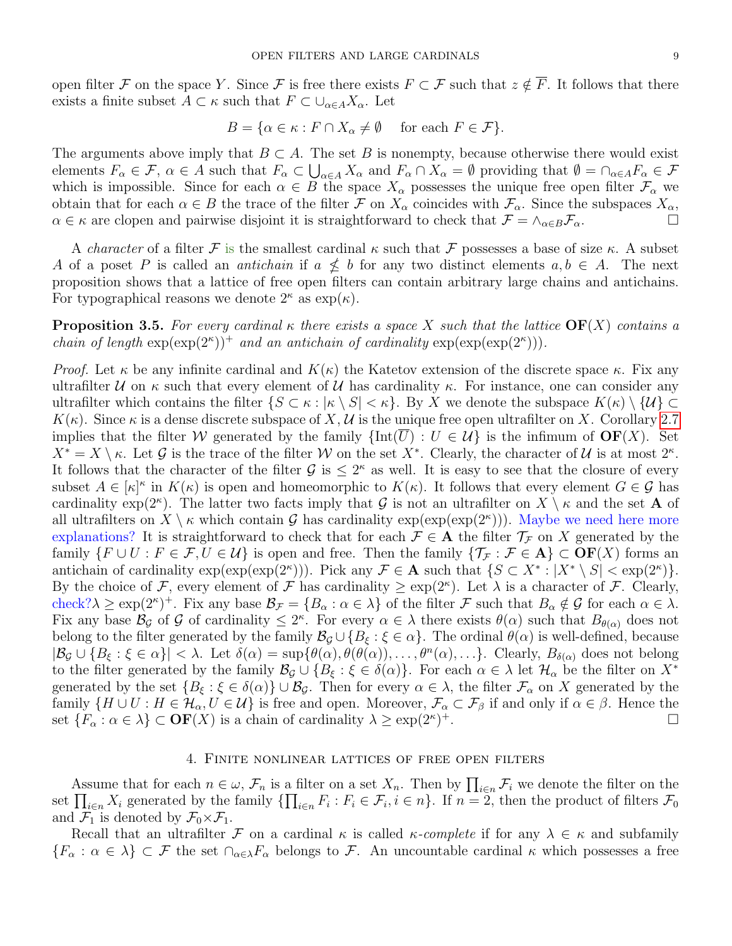open filter F on the space Y. Since F is free there exists  $F \subset F$  such that  $z \notin \overline{F}$ . It follows that there exists a finite subset  $A \subset \kappa$  such that  $F \subset \bigcup_{\alpha \in A} X_{\alpha}$ . Let

$$
B = \{ \alpha \in \kappa : F \cap X_{\alpha} \neq \emptyset \quad \text{ for each } F \in \mathcal{F} \}.
$$

The arguments above imply that  $B \subset A$ . The set B is nonempty, because otherwise there would exist elements  $F_{\alpha} \in \mathcal{F}$ ,  $\alpha \in A$  such that  $F_{\alpha} \subset \bigcup_{\alpha \in A} X_{\alpha}$  and  $F_{\alpha} \cap X_{\alpha} = \emptyset$  providing that  $\emptyset = \cap_{\alpha \in A} F_{\alpha} \in \mathcal{F}$ which is impossible. Since for each  $\alpha \in B$  the space  $X_{\alpha}$  possesses the unique free open filter  $\mathcal{F}_{\alpha}$  we obtain that for each  $\alpha \in B$  the trace of the filter F on  $X_{\alpha}$  coincides with  $\mathcal{F}_{\alpha}$ . Since the subspaces  $X_{\alpha}$ ,  $\alpha \in \kappa$  are clopen and pairwise disjoint it is straightforward to check that  $\mathcal{F} = \wedge_{\alpha \in B} \mathcal{F}_{\alpha}$ .

A *character* of a filter F is the smallest cardinal  $\kappa$  such that F possesses a base of size  $\kappa$ . A subset A of a poset P is called an *antichain* if  $a \nleq b$  for any two distinct elements  $a, b \in A$ . The next proposition shows that a lattice of free open filters can contain arbitrary large chains and antichains. For typographical reasons we denote  $2^{\kappa}$  as  $\exp(\kappa)$ .

**Proposition 3.5.** For every cardinal  $\kappa$  there exists a space X such that the lattice  $\text{OF}(X)$  contains a chain of length  $\exp(\exp(2^{\kappa}))^+$  and an antichain of cardinality  $\exp(\exp(\exp(2^{\kappa}))).$ 

*Proof.* Let  $\kappa$  be any infinite cardinal and  $K(\kappa)$  the Katetov extension of the discrete space  $\kappa$ . Fix any ultrafilter  $\mathcal U$  on  $\kappa$  such that every element of  $\mathcal U$  has cardinality  $\kappa$ . For instance, one can consider any ultrafilter which contains the filter  $\{S \subset \kappa : |\kappa \setminus S| < \kappa\}$ . By X we denote the subspace  $K(\kappa) \setminus \{U\} \subset$  $K(\kappa)$ . Since  $\kappa$  is a dense discrete subspace of X, U is the unique free open ultrafilter on X. Corollary [2.7](#page-4-2) implies that the filter W generated by the family  $\{\text{Int}(U) : U \in \mathcal{U}\}\$ is the infimum of  $\text{OF}(X)$ . Set  $X^* = X \setminus \kappa$ . Let G is the trace of the filter W on the set  $X^*$ . Clearly, the character of U is at most  $2^{\kappa}$ . It follows that the character of the filter  $\mathcal{G}$  is  $\leq 2^{\kappa}$  as well. It is easy to see that the closure of every subset  $A \in [\kappa]^{\kappa}$  in  $K(\kappa)$  is open and homeomorphic to  $K(\kappa)$ . It follows that every element  $G \in \mathcal{G}$  has cardinality exp(2<sup> $\kappa$ </sup>). The latter two facts imply that G is not an ultrafilter on  $X \setminus \kappa$  and the set A of all ultrafilters on  $X \setminus \kappa$  which contain G has cardinality  $\exp(\exp(\exp(2^{\kappa})))$ . Maybe we need here more explanations? It is straightforward to check that for each  $\mathcal{F} \in \mathbf{A}$  the filter  $\mathcal{T}_{\mathcal{F}}$  on X generated by the family  $\{F \cup U : F \in \mathcal{F}, U \in \mathcal{U}\}\$ is open and free. Then the family  $\{\mathcal{T}_{\mathcal{F}} : \mathcal{F} \in \mathbf{A}\}\subset \mathbf{OF}(X)$  forms an antichain of cardinality  $\exp(\exp(2^{\kappa}))$ . Pick any  $\mathcal{F} \in \mathbf{A}$  such that  $\{S \subset X^* : |X^* \setminus S| < \exp(2^{\kappa})\}$ . By the choice of F, every element of F has cardinality  $\geq \exp(2^{\kappa})$ . Let  $\lambda$  is a character of F. Clearly, check? $\lambda \ge \exp(2^{\kappa})^+$ . Fix any base  $\mathcal{B}_{\mathcal{F}} = \{B_{\alpha} : \alpha \in \lambda\}$  of the filter  $\mathcal{F}$  such that  $B_{\alpha} \notin \mathcal{G}$  for each  $\alpha \in \lambda$ . Fix any base  $\mathcal{B}_{\mathcal{G}}$  of  $\mathcal{G}$  of cardinality  $\leq 2^{\kappa}$ . For every  $\alpha \in \lambda$  there exists  $\theta(\alpha)$  such that  $B_{\theta(\alpha)}$  does not belong to the filter generated by the family  $\mathcal{B}_{\mathcal{G}} \cup \{B_{\xi} : \xi \in \alpha\}$ . The ordinal  $\theta(\alpha)$  is well-defined, because  $|\mathcal{B}_{\mathcal{G}} \cup \{B_{\xi} : \xi \in \alpha\}| < \lambda$ . Let  $\delta(\alpha) = \sup{\{\theta(\alpha), \theta(\theta(\alpha)), \dots, \theta^n(\alpha), \dots\}}$ . Clearly,  $B_{\delta(\alpha)}$  does not belong to the filter generated by the family  $\mathcal{B}_{\mathcal{G}} \cup \{B_{\xi} : \xi \in \delta(\alpha)\}\.$  For each  $\alpha \in \lambda$  let  $\mathcal{H}_{\alpha}$  be the filter on  $X^*$ generated by the set  $\{B_{\xi} : \xi \in \delta(\alpha)\}\cup \mathcal{B}_{\mathcal{G}}$ . Then for every  $\alpha \in \lambda$ , the filter  $\mathcal{F}_{\alpha}$  on X generated by the family  $\{H \cup U : H \in \mathcal{H}_\alpha, U \in \mathcal{U}\}\$ is free and open. Moreover,  $\mathcal{F}_\alpha \subset \mathcal{F}_\beta$  if and only if  $\alpha \in \beta$ . Hence the set  $\{F_{\alpha} : \alpha \in \lambda\} \subset \mathbf{OF}(X)$  is a chain of cardinality  $\lambda \geq \exp(2^{\kappa})$ <sup>+</sup>.

#### 4. Finite nonlinear lattices of free open filters

Assume that for each  $n \in \omega$ ,  $\mathcal{F}_n$  is a filter on a set  $X_n$ . Then by  $\prod_{i \in n} \mathcal{F}_i$  we denote the filter on the set  $\prod_{i\in n} X_i$  generated by the family  $\{\prod_{i\in n} F_i : F_i \in \mathcal{F}_i, i\in n\}$ . If  $n=2$ , then the product of filters  $\mathcal{F}_0$ and  $\mathcal{F}_1$  is denoted by  $\mathcal{F}_0 \times \mathcal{F}_1$ .

Recall that an ultrafilter F on a cardinal  $\kappa$  is called  $\kappa$ -complete if for any  $\lambda \in \kappa$  and subfamily  ${F_\alpha : \alpha \in \lambda} \subset \mathcal{F}$  the set  $\cap_{\alpha \in \lambda} F_\alpha$  belongs to  $\mathcal{F}$ . An uncountable cardinal  $\kappa$  which possesses a free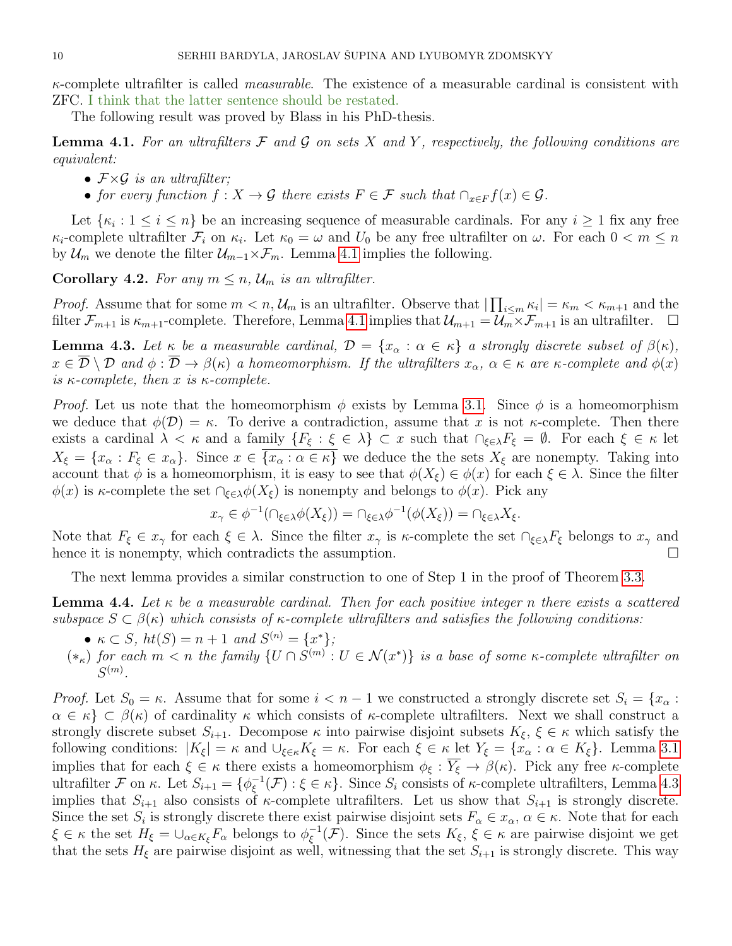$\kappa$ -complete ultrafilter is called *measurable*. The existence of a measurable cardinal is consistent with ZFC. I think that the latter sentence should be restated.

The following result was proved by Blass in his PhD-thesis.

<span id="page-9-0"></span>**Lemma 4.1.** For an ultrafilters  $\mathcal F$  and  $\mathcal G$  on sets  $X$  and  $Y$ , respectively, the following conditions are equivalent:

- $\mathcal{F} \times \mathcal{G}$  is an ultrafilter:
- for every function  $f: X \to \mathcal{G}$  there exists  $F \in \mathcal{F}$  such that  $\bigcap_{x \in F} f(x) \in \mathcal{G}$ .

Let  $\{\kappa_i: 1 \leq i \leq n\}$  be an increasing sequence of measurable cardinals. For any  $i \geq 1$  fix any free  $\kappa_i$ -complete ultrafilter  $\mathcal{F}_i$  on  $\kappa_i$ . Let  $\kappa_0 = \omega$  and  $U_0$  be any free ultrafilter on  $\omega$ . For each  $0 < m \leq n$ by  $\mathcal{U}_m$  we denote the filter  $\mathcal{U}_{m-1}\times\mathcal{F}_m$ . Lemma [4.1](#page-9-0) implies the following.

<span id="page-9-3"></span>**Corollary 4.2.** For any  $m \leq n$ ,  $\mathcal{U}_m$  is an ultrafilter.

*Proof.* Assume that for some  $m < n$ ,  $\mathcal{U}_m$  is an ultrafilter. Observe that  $|\prod_{i \le m} \kappa_i| = \kappa_m < \kappa_{m+1}$  and the filter  $\mathcal{F}_{m+1}$  is  $\kappa_{m+1}$ -complete. Therefore, Lemma [4.1](#page-9-0) implies that  $\mathcal{U}_{m+1} = \mathcal{U}_m \times \mathcal{F}_{m+1}$  is an ultrafilter.  $\Box$ 

<span id="page-9-1"></span>**Lemma 4.3.** Let  $\kappa$  be a measurable cardinal,  $\mathcal{D} = \{x_\alpha : \alpha \in \kappa\}$  a strongly discrete subset of  $\beta(\kappa)$ ,  $x \in \overline{\mathcal{D}} \setminus \mathcal{D}$  and  $\phi : \overline{\mathcal{D}} \to \beta(\kappa)$  a homeomorphism. If the ultrafilters  $x_{\alpha}, \alpha \in \kappa$  are  $\kappa$ -complete and  $\phi(x)$ is  $\kappa$ -complete, then x is  $\kappa$ -complete.

*Proof.* Let us note that the homeomorphism  $\phi$  exists by Lemma [3.1.](#page-5-0) Since  $\phi$  is a homeomorphism we deduce that  $\phi(\mathcal{D}) = \kappa$ . To derive a contradiction, assume that x is not  $\kappa$ -complete. Then there exists a cardinal  $\lambda < \kappa$  and a family  $\{F_{\xi} : \xi \in \lambda\} \subset x$  such that  $\bigcap_{\xi \in \lambda} F_{\xi} = \emptyset$ . For each  $\xi \in \kappa$  let  $X_{\xi} = \{x_{\alpha} : F_{\xi} \in x_{\alpha}\}\.$  Since  $x \in \overline{\{x_{\alpha} : \alpha \in \kappa\}}$  we deduce the the sets  $X_{\xi}$  are nonempty. Taking into account that  $\phi$  is a homeomorphism, it is easy to see that  $\phi(X_{\xi}) \in \phi(x)$  for each  $\xi \in \lambda$ . Since the filter  $\phi(x)$  is κ-complete the set  $\bigcap_{\xi\in\lambda}\phi(X_{\xi})$  is nonempty and belongs to  $\phi(x)$ . Pick any

$$
x_{\gamma} \in \phi^{-1}(\cap_{\xi \in \lambda} \phi(X_{\xi})) = \cap_{\xi \in \lambda} \phi^{-1}(\phi(X_{\xi})) = \cap_{\xi \in \lambda} X_{\xi}.
$$

Note that  $F_{\xi} \in x_{\gamma}$  for each  $\xi \in \lambda$ . Since the filter  $x_{\gamma}$  is  $\kappa$ -complete the set  $\bigcap_{\xi \in \lambda} F_{\xi}$  belongs to  $x_{\gamma}$  and hence it is nonempty, which contradicts the assumption.  $\Box$ 

The next lemma provides a similar construction to one of Step 1 in the proof of Theorem [3.3.](#page-6-2)

<span id="page-9-2"></span>**Lemma 4.4.** Let  $\kappa$  be a measurable cardinal. Then for each positive integer n there exists a scattered subspace  $S \subset \beta(\kappa)$  which consists of  $\kappa$ -complete ultrafilters and satisfies the following conditions:

- $\kappa \subset S$ ,  $ht(S) = n + 1$  and  $S^{(n)} = \{x^*\};$
- $(*_{\kappa})$  for each  $m < n$  the family  $\{U \cap S^{(m)} : U \in \mathcal{N}(x^*)\}$  is a base of some  $\kappa$ -complete ultrafilter on  $S^{(m)}$ .

*Proof.* Let  $S_0 = \kappa$ . Assume that for some  $i < n-1$  we constructed a strongly discrete set  $S_i = \{x_\alpha :$  $\alpha \in \kappa$   $\subset \beta(\kappa)$  of cardinality  $\kappa$  which consists of  $\kappa$ -complete ultrafilters. Next we shall construct a strongly discrete subset  $S_{i+1}$ . Decompose  $\kappa$  into pairwise disjoint subsets  $K_{\xi}$ ,  $\xi \in \kappa$  which satisfy the following conditions:  $|K_{\xi}| = \kappa$  and  $\cup_{\xi \in \kappa} K_{\xi} = \kappa$ . For each  $\xi \in \kappa$  let  $Y_{\xi} = \{x_{\alpha} : \alpha \in K_{\xi}\}\$ . Lemma [3.1](#page-5-0) implies that for each  $\xi \in \kappa$  there exists a homeomorphism  $\phi_{\xi} : \overline{Y_{\xi}} \to \beta(\kappa)$ . Pick any free  $\kappa$ -complete ultrafilter  $\mathcal F$  on  $\kappa$ . Let  $S_{i+1} = \{ \phi_{\xi}^{-1} \}$  $\zeta^{-1}(\mathcal{F}): \xi \in \kappa$ . Since  $S_i$  consists of  $\kappa$ -complete ultrafilters, Lemma [4.3](#page-9-1) implies that  $S_{i+1}$  also consists of  $\kappa$ -complete ultrafilters. Let us show that  $S_{i+1}$  is strongly discrete. Since the set  $S_i$  is strongly discrete there exist pairwise disjoint sets  $F_\alpha \in x_\alpha$ ,  $\alpha \in \kappa$ . Note that for each  $\xi \in \kappa$  the set  $H_{\xi} = \cup_{\alpha \in K_{\xi}} F_{\alpha}$  belongs to  $\phi_{\xi}^{-1}$  $\zeta^{-1}(\mathcal{F})$ . Since the sets  $K_{\xi}, \xi \in \kappa$  are pairwise disjoint we get that the sets  $H_{\xi}$  are pairwise disjoint as well, witnessing that the set  $S_{i+1}$  is strongly discrete. This way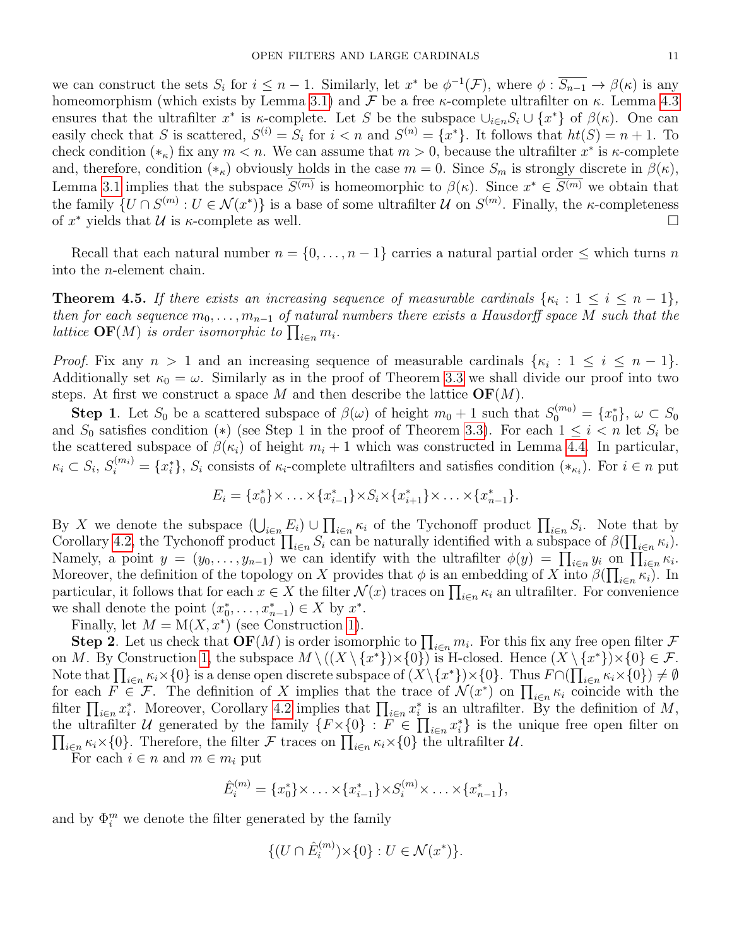we can construct the sets  $S_i$  for  $i \leq n-1$ . Similarly, let  $x^*$  be  $\phi^{-1}(\mathcal{F})$ , where  $\phi: \overline{S_{n-1}} \to \beta(\kappa)$  is any homeomorphism (which exists by Lemma [3.1\)](#page-5-0) and  $\mathcal F$  be a free  $\kappa$ -complete ultrafilter on  $\kappa$ . Lemma [4.3](#page-9-1) ensures that the ultrafilter  $x^*$  is  $\kappa$ -complete. Let S be the subspace  $\cup_{i\in n}S_i\cup\{x^*\}$  of  $\beta(\kappa)$ . One can easily check that S is scattered,  $S^{(i)} = S_i$  for  $i < n$  and  $S^{(n)} = \{x^*\}$ . It follows that  $ht(S) = n + 1$ . To check condition  $(*_{\kappa})$  fix any  $m < n$ . We can assume that  $m > 0$ , because the ultrafilter  $x^*$  is  $\kappa$ -complete and, therefore, condition  $(*\kappa)$  obviously holds in the case  $m = 0$ . Since  $S_m$  is strongly discrete in  $\beta(\kappa)$ , Lemma [3.1](#page-5-0) implies that the subspace  $S^{(m)}$  is homeomorphic to  $\beta(\kappa)$ . Since  $x^* \in S^{(m)}$  we obtain that the family  $\{U \cap S^{(m)} : U \in \mathcal{N}(x^*)\}$  is a base of some ultrafilter U on  $S^{(m)}$ . Finally, the  $\kappa$ -completeness of  $x^*$  yields that  $\mathcal U$  is  $\kappa$ -complete as well.

Recall that each natural number  $n = \{0, \ldots, n-1\}$  carries a natural partial order  $\leq$  which turns n into the n-element chain.

<span id="page-10-0"></span>**Theorem 4.5.** If there exists an increasing sequence of measurable cardinals  $\{\kappa_i : 1 \leq i \leq n-1\},\$ then for each sequence  $m_0, \ldots, m_{n-1}$  of natural numbers there exists a Hausdorff space M such that the lattice  $\mathbf{OF}(M)$  is order isomorphic to  $\prod_{i\in n} m_i$ .

*Proof.* Fix any  $n > 1$  and an increasing sequence of measurable cardinals  $\{\kappa_i : 1 \leq i \leq n-1\}$ . Additionally set  $\kappa_0 = \omega$ . Similarly as in the proof of Theorem [3.3](#page-6-2) we shall divide our proof into two steps. At first we construct a space M and then describe the lattice  $\mathbf{OF}(M)$ .

**Step 1**. Let  $S_0$  be a scattered subspace of  $\beta(\omega)$  of height  $m_0 + 1$  such that  $S_0^{(m_0)} = \{x_0^*\}, \omega \subset S_0$ and  $S_0$  satisfies condition (\*) (see Step 1 in the proof of Theorem [3.3\)](#page-6-2). For each  $1 \leq i \leq n$  let  $S_i$  be the scattered subspace of  $\beta(\kappa_i)$  of height  $m_i + 1$  which was constructed in Lemma [4.4.](#page-9-2) In particular,  $\kappa_i \subset S_i$ ,  $S_i^{(m_i)} = \{x_i^*\}$ ,  $S_i$  consists of  $\kappa_i$ -complete ultrafilters and satisfies condition  $(*_{\kappa_i})$ . For  $i \in n$  put

$$
E_i = \{x_0^*\} \times \ldots \times \{x_{i-1}^*\} \times S_i \times \{x_{i+1}^*\} \times \ldots \times \{x_{n-1}^*\}.
$$

By X we denote the subspace  $(\bigcup_{i\in n} E_i) \cup \prod_{i\in n} \kappa_i$  of the Tychonoff product  $\prod_{i\in n} S_i$ . Note that by Corollary [4.2,](#page-9-3) the Tychonoff product  $\prod_{i\in n} S_i$  can be naturally identified with a subspace of  $\beta(\prod_{i\in n} \kappa_i)$ . Namely, a point  $y = (y_0, \ldots, y_{n-1})$  we can identify with the ultrafilter  $\phi(y) = \prod_{i \in n} y_i$  on  $\prod_{i \in n} \kappa_i$ . Moreover, the definition of the topology on X provides that  $\phi$  is an embedding of X into  $\beta(\prod_{i\in n}\kappa_i)$ . In particular, it follows that for each  $x \in X$  the filter  $\mathcal{N}(x)$  traces on  $\prod_{i \in n} \kappa_i$  an ultrafilter. For convenience we shall denote the point  $(x_0^*, \ldots, x_{n-1}^*) \in X$  by  $x^*$ .

Finally, let  $M = M(X, x^*)$  (see Construction [1\)](#page-6-0).

**Step 2**. Let us check that  $\mathbf{OF}(M)$  is order isomorphic to  $\prod_{i\in n} m_i$ . For this fix any free open filter  $\mathcal F$ on M. By Construction [1,](#page-6-0) the subspace  $M \setminus ((X \setminus \{x^*\}) \times \{0\})$  is H-closed. Hence  $(X \setminus \{x^*\}) \times \{0\} \in \mathcal{F}$ . Note that  $\prod_{i\in n} \kappa_i \times \{0\}$  is a dense open discrete subspace of  $(X\setminus \{x^*\})\times \{0\}$ . Thus  $F\cap (\prod_{i\in n} \kappa_i \times \{0\}) \neq \emptyset$ for each  $F \in \mathcal{F}$ . The definition of X implies that the trace of  $\mathcal{N}(x^*)$  on  $\prod_{i \in n} \kappa_i$  coincide with the filter  $\prod_{i\in n} x_i^*$ . Moreover, Corollary [4.2](#page-9-3) implies that  $\prod_{i\in n} x_i^*$  is an ultrafilter. By the definition of M, the ultrafilter U generated by the family  $\{F \times \{0\} : F \in \prod_{i \in n} x_i^*\}$  is the unique free open filter on  $\prod_{i\in n} \kappa_i \times \{0\}$ . Therefore, the filter F traces on  $\prod_{i\in n} \kappa_i \times \{0\}$  the ultrafilter U.

For each  $i \in n$  and  $m \in m_i$  put

$$
\hat{E}_i^{(m)} = \{x_0^*\} \times \ldots \times \{x_{i-1}^*\} \times S_i^{(m)} \times \ldots \times \{x_{n-1}^*\},
$$

and by  $\Phi_i^m$  we denote the filter generated by the family

$$
\{(U \cap \hat{E}_i^{(m)}) \times \{0\} : U \in \mathcal{N}(x^*)\}.
$$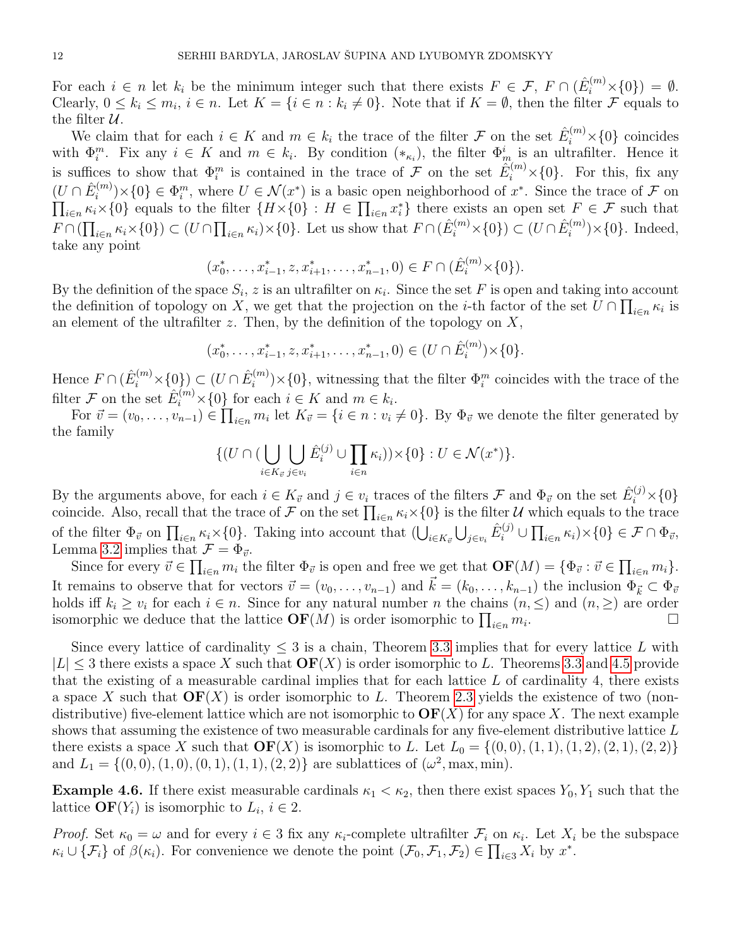For each  $i \in n$  let  $k_i$  be the minimum integer such that there exists  $F \in \mathcal{F}$ ,  $F \cap (\hat{E}_i^{(m)} \times \{0\}) = \emptyset$ . Clearly,  $0 \leq k_i \leq m_i$ ,  $i \in n$ . Let  $K = \{i \in n : k_i \neq 0\}$ . Note that if  $K = \emptyset$ , then the filter  $\mathcal F$  equals to the filter  $\mathcal{U}$ .

We claim that for each  $i \in K$  and  $m \in k_i$  the trace of the filter  $\mathcal F$  on the set  $\hat E_i^{(m)} \times \{0\}$  coincides with  $\Phi_i^m$ . Fix any  $i \in K$  and  $m \in k_i$ . By condition  $(*_{\kappa_i})$ , the filter  $\Phi_m^i$  is an ultrafilter. Hence it is suffices to show that  $\Phi_i^m$  is contained in the trace of F on the set  $\hat{E}_i^{(m)} \times \{0\}$ . For this, fix any  $(U \cap \hat{E}_{i}^{(m)}$  $\{0\} \in \Phi_i^m$ , where  $U \in \mathcal{N}(x^*)$  is a basic open neighborhood of  $x^*$ . Since the trace of  $\mathcal F$  on  $\prod_{i\in n} \kappa_i \times \{0\}$  equals to the filter  $\{H \times \{0\} : H \in \prod_{i\in n} x_i^*\}$  there exists an open set  $F \in \mathcal{F}$  such that  $F \cap (\prod_{i \in n} \kappa_i \times \{0\}) \subset (U \cap \prod_{i \in n} \kappa_i) \times \{0\}$ . Let us show that  $F \cap (\hat{E}_i^{(m)} \times \{0\}) \subset (U \cap \hat{E}_i^{(m)}$  $i^{(m)}\times{0}$ . Indeed, take any point

$$
(x_0^*, \ldots, x_{i-1}^*, z, x_{i+1}^*, \ldots, x_{n-1}^*, 0) \in F \cap (\hat{E}_i^{(m)} \times \{0\}).
$$

By the definition of the space  $S_i$ , z is an ultrafilter on  $\kappa_i$ . Since the set F is open and taking into account the definition of topology on X, we get that the projection on the *i*-th factor of the set  $U \cap \prod_{i \in n} \kappa_i$  is an element of the ultrafilter  $z$ . Then, by the definition of the topology on  $X$ ,

$$
(x_0^*, \ldots, x_{i-1}^*, z, x_{i+1}^*, \ldots, x_{n-1}^*, 0) \in (U \cap \hat{E}_i^{(m)}) \times \{0\}.
$$

Hence  $F \cap (\hat{E}_{i}^{(m)} \times \{0\}) \subset (U \cap \hat{E}_{i}^{(m)})$  $\mathcal{L}^{(m)}_i$   $\times$  {0}, witnessing that the filter  $\Phi_i^m$  coincides with the trace of the filter  $\mathcal F$  on the set  $\hat E_i^{(m)} \times \{0\}$  for each  $i \in K$  and  $m \in k_i$ .

For  $\vec{v} = (v_0, \ldots, v_{n-1}) \in \prod_{i \in n} m_i$  let  $K_{\vec{v}} = \{i \in n : v_i \neq 0\}$ . By  $\Phi_{\vec{v}}$  we denote the filter generated by the family

$$
\{ (U \cap (\bigcup_{i \in K_{\vec{v}}} \bigcup_{j \in v_i} \hat{E}_i^{(j)} \cup \prod_{i \in n} \kappa_i) ) \times \{0\} : U \in \mathcal{N}(x^*) \}.
$$

By the arguments above, for each  $i \in K_{\vec{v}}$  and  $j \in v_i$  traces of the filters  $\mathcal{F}$  and  $\Phi_{\vec{v}}$  on the set  $\hat{E}_i^{(j)} \times \{0\}$ coincide. Also, recall that the trace of  $\mathcal F$  on the set  $\prod_{i\in n}\kappa_i\times\{0\}$  is the filter  $\mathcal U$  which equals to the trace of the filter  $\Phi_{\vec{v}}$  on  $\prod_{i\in n} \kappa_i \times \{0\}$ . Taking into account that  $(\bigcup_{i\in K_{\vec{v}}} \bigcup_{j\in v_i} \hat{E}_i^{(j)} \cup \prod_{i\in n} \kappa_i) \times \{0\} \in \mathcal{F} \cap \Phi_{\vec{v}}$ , Lemma [3.2](#page-6-1) implies that  $\mathcal{F} = \Phi_{\vec{v}}$ .

Since for every  $\vec{v} \in \prod_{i \in n} m_i$  the filter  $\Phi_{\vec{v}}$  is open and free we get that  $\mathbf{OF}(M) = {\Phi_{\vec{v}} : \vec{v} \in \prod_{i \in n} m_i}.$ It remains to observe that for vectors  $\vec{v} = (v_0, \ldots, v_{n-1})$  and  $\vec{k} = (k_0, \ldots, k_{n-1})$  the inclusion  $\Phi_{\vec{k}} \subset \Phi_{\vec{v}}$ holds iff  $k_i \geq v_i$  for each  $i \in n$ . Since for any natural number n the chains  $(n, \leq)$  and  $(n, \geq)$  are order isomorphic we deduce that the lattice  $\mathbf{OF}(M)$  is order isomorphic to  $\prod_{i\in n} m_i$ .

Since every lattice of cardinality  $\leq 3$  is a chain, Theorem [3.3](#page-6-2) implies that for every lattice L with  $|L| \leq 3$  there exists a space X such that  $\mathbf{OF}(X)$  is order isomorphic to L. Theorems [3.3](#page-6-2) and [4.5](#page-10-0) provide that the existing of a measurable cardinal implies that for each lattice  $L$  of cardinality 4, there exists a space X such that  $\mathbf{OF}(X)$  is order isomorphic to L. Theorem [2.3](#page-3-0) yields the existence of two (nondistributive) five-element lattice which are not isomorphic to  $\mathbf{OF}(X)$  for any space X. The next example shows that assuming the existence of two measurable cardinals for any five-element distributive lattice L there exists a space X such that  $\mathbf{OF}(X)$  is isomorphic to L. Let  $L_0 = \{(0,0), (1, 1), (1, 2), (2, 1), (2, 2)\}$ and  $L_1 = \{(0,0), (1,0), (0,1), (1, 1), (2, 2)\}\$ are sublattices of  $(\omega^2, \max, \min)$ .

**Example 4.6.** If there exist measurable cardinals  $\kappa_1 < \kappa_2$ , then there exist spaces  $Y_0, Y_1$  such that the lattice  $\mathbf{OF}(Y_i)$  is isomorphic to  $L_i$ ,  $i \in 2$ .

*Proof.* Set  $\kappa_0 = \omega$  and for every  $i \in \{3\}$  fix any  $\kappa_i$ -complete ultrafilter  $\mathcal{F}_i$  on  $\kappa_i$ . Let  $X_i$  be the subspace  $\kappa_i \cup \{\mathcal{F}_i\}$  of  $\beta(\kappa_i)$ . For convenience we denote the point  $(\mathcal{F}_0, \mathcal{F}_1, \mathcal{F}_2) \in \prod_{i \in \mathcal{S}} X_i$  by  $x^*$ .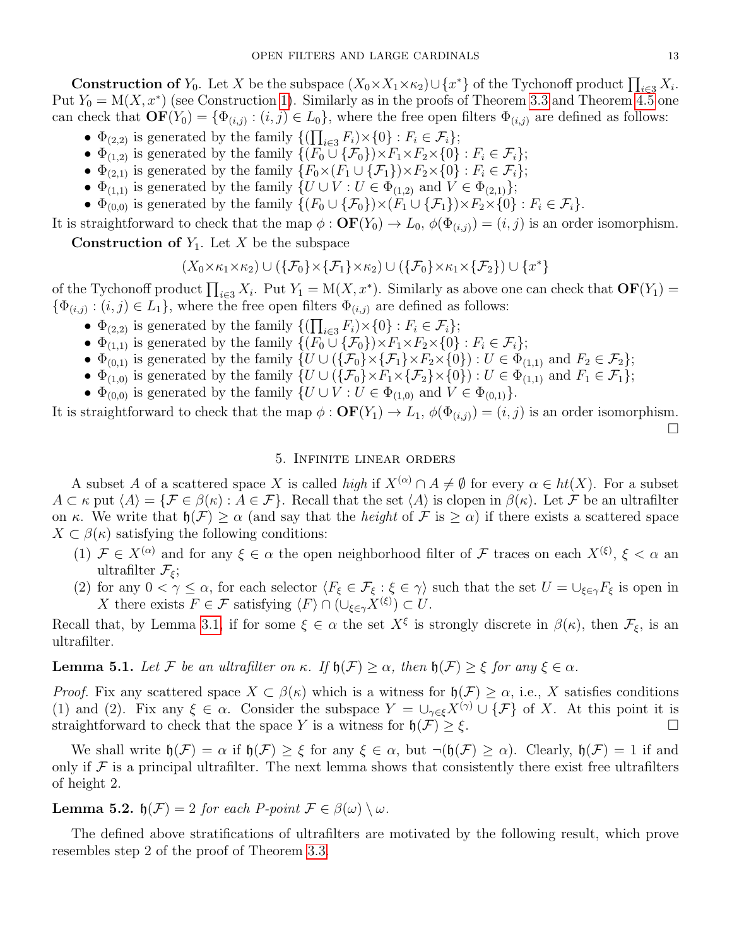**Construction of**  $Y_0$ . Let X be the subspace  $(X_0 \times X_1 \times \kappa_2) \cup \{x^*\}$  of the Tychonoff product  $\prod_{i \in 3} X_i$ . Put  $Y_0 = M(X, x^*)$  (see Construction [1\)](#page-6-0). Similarly as in the proofs of Theorem [3.3](#page-6-2) and Theorem [4.5](#page-10-0) one can check that  $\mathbf{OF}(Y_0) = \{ \Phi_{(i,j)} : (i,j) \in L_0 \}$ , where the free open filters  $\Phi_{(i,j)}$  are defined as follows:

- $\Phi_{(2,2)}$  is generated by the family  $\{(\prod_{i\in 3} F_i) \times \{0\} : F_i \in \mathcal{F}_i\};$
- $\Phi_{(1,2)}$  is generated by the family  $\{(F_0 \cup \{\mathcal{F}_0\}) \times F_1 \times F_2 \times \{0\} : F_i \in \mathcal{F}_i\};$
- $\Phi_{(2,1)}$  is generated by the family  $\{F_0 \times (F_1 \cup \{F_1\}) \times F_2 \times \{0\} : F_i \in \mathcal{F}_i\};$
- $\Phi_{(1,1)}$  is generated by the family  $\{U \cup V : U \in \Phi_{(1,2)} \text{ and } V \in \Phi_{(2,1)}\};$
- $\Phi_{(0,0)}$  is generated by the family  $\{(F_0 \cup \{F_0\}) \times (\overline{F_1} \cup \{F_1\}) \times F_2 \times \{0\} : F_i \in \mathcal{F}_i\}.$

It is straightforward to check that the map  $\phi : \mathbf{OF}(Y_0) \to L_0$ ,  $\phi(\Phi_{(i,j)}) = (i, j)$  is an order isomorphism.

**Construction of**  $Y_1$ . Let X be the subspace

$$
(X_0\times\kappa_1\times\kappa_2)\cup (\{\mathcal{F}_0\}\times\{\mathcal{F}_1\}\times\kappa_2)\cup (\{\mathcal{F}_0\}\times\kappa_1\times\{\mathcal{F}_2\})\cup\{x^*\}
$$

of the Tychonoff product  $\prod_{i\in 3} X_i$ . Put  $Y_1 = M(X, x^*)$ . Similarly as above one can check that  $\mathbf{OF}(Y_1) =$  $\{\Phi_{(i,j)} : (i,j) \in L_1\}$ , where the free open filters  $\Phi_{(i,j)}$  are defined as follows:

- $\Phi_{(2,2)}$  is generated by the family  $\{(\prod_{i\in 3} F_i) \times \{0\} : F_i \in \mathcal{F}_i\};$
- $\Phi_{(1,1)}$  is generated by the family  $\{ (F_0 \cup \{F_0\}) \times F_1 \times F_2 \times \{0\} : F_i \in \mathcal{F}_i \};$
- $\Phi_{(0,1)}$  is generated by the family  $\{U \cup (\{\mathcal{F}_0\} \times {\{\mathcal{F}_1\}} \times F_2 \times \{0\}) : U \in \Phi_{(1,1)} \text{ and } F_2 \in \mathcal{F}_2\};$
- $\Phi_{(1,0)}$  is generated by the family  $\{U \cup (\{\mathcal{F}_0\} \times F_1 \times \{\mathcal{F}_2\} \times \{0\}) : U \in \Phi_{(1,1)}$  and  $F_1 \in \mathcal{F}_1\};$
- $\Phi_{(0,0)}$  is generated by the family  $\{U \cup V : U \in \Phi_{(1,0)} \text{ and } V \in \Phi_{(0,1)}\}.$

It is straightforward to check that the map  $\phi : \mathbf{OF}(Y_1) \to L_1$ ,  $\phi(\Phi_{(i,j)}) = (i, j)$  is an order isomorphism.  $\Box$ 

# 5. Infinite linear orders

A subset A of a scattered space X is called high if  $X^{(\alpha)} \cap A \neq \emptyset$  for every  $\alpha \in ht(X)$ . For a subset  $A \subset \kappa$  put  $\langle A \rangle = {\{\mathcal{F} \in \beta(\kappa) : A \in \mathcal{F}\}}$ . Recall that the set  $\langle A \rangle$  is clopen in  $\beta(\kappa)$ . Let  $\mathcal{F}$  be an ultrafilter on κ. We write that  $\mathfrak{h}(\mathcal{F}) \geq \alpha$  (and say that the *height* of  $\mathcal{F}$  is  $\geq \alpha$ ) if there exists a scattered space  $X \subset \beta(\kappa)$  satisfying the following conditions:

- (1)  $\mathcal{F} \in X^{(\alpha)}$  and for any  $\xi \in \alpha$  the open neighborhood filter of  $\mathcal{F}$  traces on each  $X^{(\xi)}$ ,  $\xi < \alpha$  and ultrafilter  $\mathcal{F}_{\xi}$ ;
- (2) for any  $0 < \gamma \leq \alpha$ , for each selector  $\langle F_{\xi} \in \mathcal{F}_{\xi} : \xi \in \gamma \rangle$  such that the set  $U = \bigcup_{\xi \in \gamma} F_{\xi}$  is open in X there exists  $F \in \mathcal{F}$  satisfying  $\langle F \rangle \cap (\cup_{\xi \in \gamma} X^{(\xi)}) \subset U$ .

Recall that, by Lemma [3.1,](#page-5-0) if for some  $\xi \in \alpha$  the set  $X^{\xi}$  is strongly discrete in  $\beta(\kappa)$ , then  $\mathcal{F}_{\xi}$ , is an ultrafilter.

<span id="page-12-0"></span>**Lemma 5.1.** Let F be an ultrafilter on κ. If  $\mathfrak{h}(\mathcal{F}) \geq \alpha$ , then  $\mathfrak{h}(\mathcal{F}) \geq \xi$  for any  $\xi \in \alpha$ .

*Proof.* Fix any scattered space  $X \subset \beta(\kappa)$  which is a witness for  $\mathfrak{h}(\mathcal{F}) \geq \alpha$ , i.e., X satisfies conditions (1) and (2). Fix any  $\xi \in \alpha$ . Consider the subspace  $Y = \bigcup_{\gamma \in \xi} X^{(\gamma)} \cup {\{\mathcal{F}\}}$  of X. At this point it is straightforward to check that the space Y is a witness for  $\mathfrak{h}(\mathcal{F}) \geq \xi$ .

We shall write  $\mathfrak{h}(\mathcal{F}) = \alpha$  if  $\mathfrak{h}(\mathcal{F}) \geq \xi$  for any  $\xi \in \alpha$ , but  $\neg(\mathfrak{h}(\mathcal{F}) \geq \alpha)$ . Clearly,  $\mathfrak{h}(\mathcal{F}) = 1$  if and only if  $\mathcal F$  is a principal ultrafilter. The next lemma shows that consistently there exist free ultrafilters of height 2.

**Lemma 5.2.**  $\mathfrak{h}(\mathcal{F}) = 2$  for each P-point  $\mathcal{F} \in \beta(\omega) \setminus \omega$ .

The defined above stratifications of ultrafilters are motivated by the following result, which prove resembles step 2 of the proof of Theorem [3.3.](#page-6-2)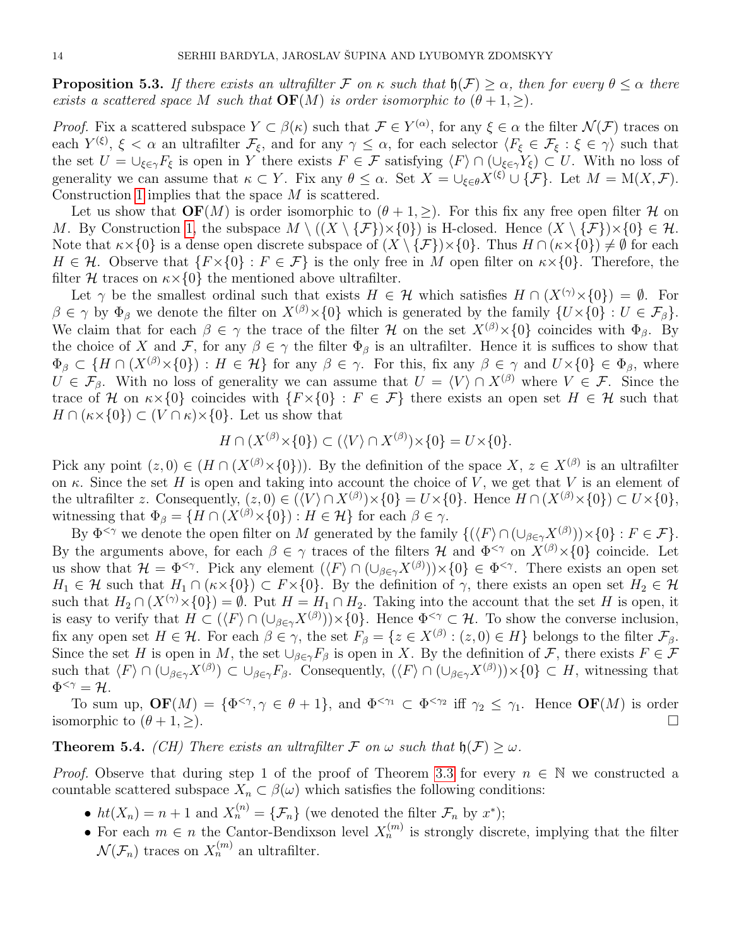**Proposition 5.3.** If there exists an ultrafilter F on  $\kappa$  such that  $\mathfrak{h}(\mathcal{F}) \geq \alpha$ , then for every  $\theta \leq \alpha$  there exists a scattered space M such that  $\mathbf{OF}(M)$  is order isomorphic to  $(\theta + 1, >)$ .

*Proof.* Fix a scattered subspace  $Y \subset \beta(\kappa)$  such that  $\mathcal{F} \in Y^{(\alpha)}$ , for any  $\xi \in \alpha$  the filter  $\mathcal{N}(\mathcal{F})$  traces on each  $Y^{(\xi)}, \xi < \alpha$  an ultrafilter  $\mathcal{F}_{\xi}$ , and for any  $\gamma \leq \alpha$ , for each selector  $\langle F_{\xi} \in \mathcal{F}_{\xi} : \xi \in \gamma \rangle$  such that the set  $U = \bigcup_{\xi \in \gamma} F_{\xi}$  is open in Y there exists  $F \in \mathcal{F}$  satisfying  $\langle F \rangle \cap (\bigcup_{\xi \in \gamma} Y_{\xi}) \subset U$ . With no loss of generality we can assume that  $\kappa \subset Y$ . Fix any  $\theta \leq \alpha$ . Set  $X = \bigcup_{\xi \in \theta} X^{(\xi)} \cup \{\mathcal{F}\}\.$  Let  $M = M(X, \mathcal{F})$ . Construction [1](#page-6-0) implies that the space M is scattered.

Let us show that  $\mathbf{OF}(M)$  is order isomorphic to  $(\theta + 1, \geq)$ . For this fix any free open filter H on M. By Construction [1,](#page-6-0) the subspace  $M \setminus ((X \setminus \{\mathcal{F}\}) \times \{0\})$  is H-closed. Hence  $(X \setminus \{\mathcal{F}\}) \times \{0\} \in \mathcal{H}$ . Note that  $\kappa \times \{0\}$  is a dense open discrete subspace of  $(X \setminus \{\mathcal{F}\}) \times \{0\}$ . Thus  $H \cap (\kappa \times \{0\}) \neq \emptyset$  for each  $H \in \mathcal{H}$ . Observe that  $\{F \times \{0\} : F \in \mathcal{F}\}\$ is the only free in M open filter on  $\kappa \times \{0\}$ . Therefore, the filter H traces on  $\kappa \times \{0\}$  the mentioned above ultrafilter.

Let  $\gamma$  be the smallest ordinal such that exists  $H \in \mathcal{H}$  which satisfies  $H \cap (X^{(\gamma)} \times \{0\}) = \emptyset$ . For  $\beta \in \gamma$  by  $\Phi_{\beta}$  we denote the filter on  $X^{(\beta)} \times \{0\}$  which is generated by the family  $\{U \times \{0\} : U \in \mathcal{F}_{\beta}\}.$ We claim that for each  $\beta \in \gamma$  the trace of the filter H on the set  $X^{(\beta)} \times \{0\}$  coincides with  $\Phi_{\beta}$ . By the choice of X and F, for any  $\beta \in \gamma$  the filter  $\Phi_{\beta}$  is an ultrafilter. Hence it is suffices to show that  $\Phi_{\beta} \subset \{H \cap (X^{(\beta)} \times \{0\}) : H \in \mathcal{H}\}\$ for any  $\beta \in \gamma$ . For this, fix any  $\beta \in \gamma$  and  $U \times \{0\} \in \Phi_{\beta}$ , where  $U \in \mathcal{F}_{\beta}$ . With no loss of generality we can assume that  $U = \langle V \rangle \cap X^{(\beta)}$  where  $V \in \mathcal{F}$ . Since the trace of H on  $\kappa \times \{0\}$  coincides with  $\{F \times \{0\} : F \in \mathcal{F}\}\$  there exists an open set  $H \in \mathcal{H}$  such that  $H \cap (\kappa \times \{0\}) \subset (V \cap \kappa) \times \{0\}$ . Let us show that

$$
H \cap (X^{(\beta)} \times \{0\}) \subset (\langle V \rangle \cap X^{(\beta)}) \times \{0\} = U \times \{0\}.
$$

Pick any point  $(z, 0) \in (H \cap (X^{(\beta)} \times \{0\}))$ . By the definition of the space  $X, z \in X^{(\beta)}$  is an ultrafilter on  $\kappa$ . Since the set H is open and taking into account the choice of V, we get that V is an element of the ultrafilter z. Consequently,  $(z, 0) \in (\langle V \rangle \cap X^{(\beta)}) \times \{0\} = U \times \{0\}$ . Hence  $H \cap (X^{(\beta)} \times \{0\}) \subset U \times \{0\}$ , witnessing that  $\Phi_{\beta} = \{H \cap (X^{(\beta)} \times \{0\}) : H \in \mathcal{H}\}\)$  for each  $\beta \in \gamma$ .

By  $\Phi^{<\gamma}$  we denote the open filter on M generated by the family  $\{(\langle F \rangle \cap (\cup_{\beta \in \gamma} X^{(\beta)}) \times \{0\} : F \in \mathcal{F}\}.$ By the arguments above, for each  $\beta \in \gamma$  traces of the filters H and  $\Phi^{\leq \gamma}$  on  $X^{(\beta)} \times \{0\}$  coincide. Let us show that  $\mathcal{H} = \Phi^{\leq \gamma}$ . Pick any element  $(\langle F \rangle \cap (\cup_{\beta \in \gamma} X^{(\beta)}) \times \{0\} \in \Phi^{\leq \gamma}$ . There exists an open set  $H_1 \in \mathcal{H}$  such that  $H_1 \cap (\kappa \times \{0\}) \subset F \times \{0\}$ . By the definition of  $\gamma$ , there exists an open set  $H_2 \in \mathcal{H}$ such that  $H_2 \cap (X^{(\gamma)} \times \{0\}) = \emptyset$ . Put  $H = H_1 \cap H_2$ . Taking into the account that the set H is open, it is easy to verify that  $H \subset (\langle F \rangle \cap (\cup_{\beta \in \gamma} X^{(\beta)})) \times \{0\}$ . Hence  $\Phi^{<\gamma} \subset \mathcal{H}$ . To show the converse inclusion, fix any open set  $H \in \mathcal{H}$ . For each  $\beta \in \gamma$ , the set  $F_{\beta} = \{z \in X^{(\beta)} : (z,0) \in H\}$  belongs to the filter  $\mathcal{F}_{\beta}$ . Since the set H is open in M, the set  $\bigcup_{\beta \in \gamma} F_{\beta}$  is open in X. By the definition of F, there exists  $F \in \mathcal{F}$ such that  $\langle F \rangle \cap (\cup_{\beta \in \gamma} X^{(\beta)}) \subset \cup_{\beta \in \gamma} F_{\beta}$ . Consequently,  $(\langle F \rangle \cap (\cup_{\beta \in \gamma} X^{(\beta)}) \times \{0\} \subset H$ , witnessing that  $\Phi^{<\gamma} = \mathcal{H}.$ 

To sum up,  $\mathbf{OF}(M) = {\Phi^{<\gamma}, \gamma \in \theta + 1}$ , and  $\Phi^{<\gamma_1} \subset \Phi^{<\gamma_2}$  iff  $\gamma_2 \leq \gamma_1$ . Hence  $\mathbf{OF}(M)$  is order isomorphic to  $(\theta + 1, \geq)$ .

<span id="page-13-0"></span>**Theorem 5.4.** (CH) There exists an ultrafilter F on  $\omega$  such that  $\mathfrak{h}(\mathcal{F}) > \omega$ .

*Proof.* Observe that during step 1 of the proof of Theorem [3.3](#page-6-2) for every  $n \in \mathbb{N}$  we constructed a countable scattered subspace  $X_n \subset \beta(\omega)$  which satisfies the following conditions:

- $ht(X_n) = n + 1$  and  $X_n^{(n)} = {\mathcal{F}_n}$  (we denoted the filter  $\mathcal{F}_n$  by  $x^*$ );
- For each  $m \in n$  the Cantor-Bendixson level  $X_n^{(m)}$  is strongly discrete, implying that the filter  $\mathcal{N}(\mathcal{F}_n)$  traces on  $X_n^{(m)}$  an ultrafilter.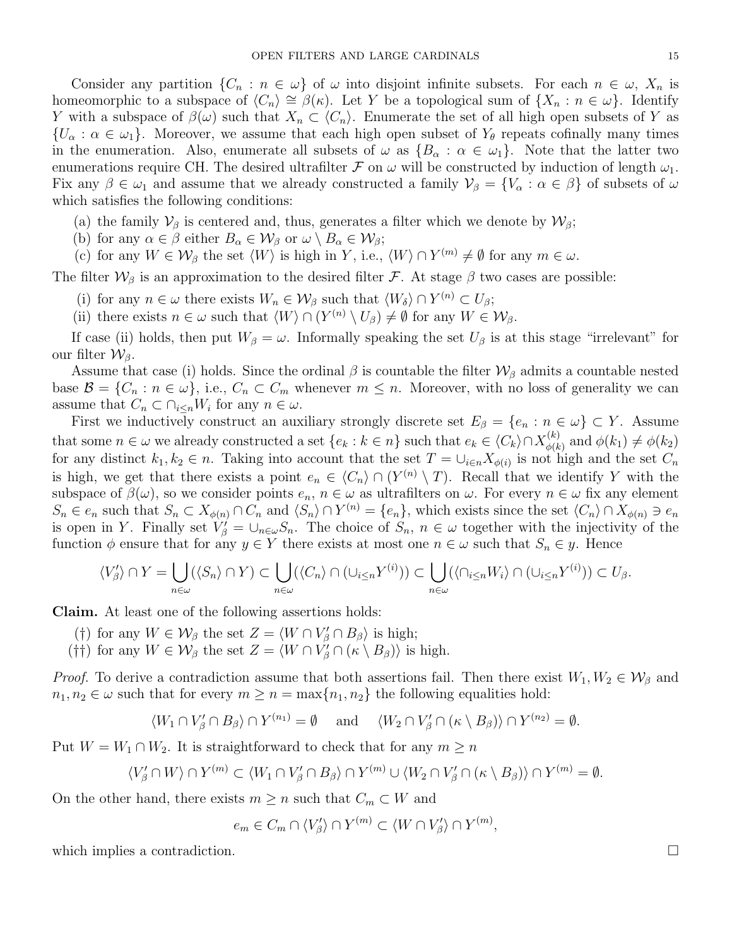Consider any partition  $\{C_n : n \in \omega\}$  of  $\omega$  into disjoint infinite subsets. For each  $n \in \omega$ ,  $X_n$  is homeomorphic to a subspace of  $\langle C_n \rangle \cong \beta(\kappa)$ . Let Y be a topological sum of  $\{X_n : n \in \omega\}$ . Identify Y with a subspace of  $\beta(\omega)$  such that  $X_n \subset \langle C_n \rangle$ . Enumerate the set of all high open subsets of Y as  $\{U_\alpha : \alpha \in \omega_1\}$ . Moreover, we assume that each high open subset of  $Y_\theta$  repeats cofinally many times in the enumeration. Also, enumerate all subsets of  $\omega$  as  $\{B_\alpha : \alpha \in \omega_1\}$ . Note that the latter two enumerations require CH. The desired ultrafilter  $\mathcal F$  on  $\omega$  will be constructed by induction of length  $\omega_1$ . Fix any  $\beta \in \omega_1$  and assume that we already constructed a family  $\mathcal{V}_{\beta} = \{V_{\alpha} : \alpha \in \beta\}$  of subsets of  $\omega$ which satisfies the following conditions:

- (a) the family  $\mathcal{V}_{\beta}$  is centered and, thus, generates a filter which we denote by  $\mathcal{W}_{\beta}$ ;
- (b) for any  $\alpha \in \beta$  either  $B_{\alpha} \in \mathcal{W}_{\beta}$  or  $\omega \setminus B_{\alpha} \in \mathcal{W}_{\beta}$ ;
- (c) for any  $W \in \mathcal{W}_{\beta}$  the set  $\langle W \rangle$  is high in Y, i.e.,  $\langle W \rangle \cap Y^{(m)} \neq \emptyset$  for any  $m \in \omega$ .

The filter  $W_\beta$  is an approximation to the desired filter F. At stage  $\beta$  two cases are possible:

- (i) for any  $n \in \omega$  there exists  $W_n \in \mathcal{W}_\beta$  such that  $\langle W_\delta \rangle \cap Y^{(n)} \subset U_\beta;$
- (ii) there exists  $n \in \omega$  such that  $\langle W \rangle \cap (Y^{(n)} \setminus U_\beta) \neq \emptyset$  for any  $W \in \mathcal{W}_\beta$ .

If case (ii) holds, then put  $W_\beta = \omega$ . Informally speaking the set  $U_\beta$  is at this stage "irrelevant" for our filter  $\mathcal{W}_{\beta}$ .

Assume that case (i) holds. Since the ordinal  $\beta$  is countable the filter  $\mathcal{W}_{\beta}$  admits a countable nested base  $\mathcal{B} = \{C_n : n \in \omega\}$ , i.e.,  $C_n \subset C_m$  whenever  $m \leq n$ . Moreover, with no loss of generality we can assume that  $C_n \subset \bigcap_{i \leq n} W_i$  for any  $n \in \omega$ .

First we inductively construct an auxiliary strongly discrete set  $E_\beta = \{e_n : n \in \omega\} \subset Y$ . Assume that some  $n \in \omega$  we already constructed a set  $\{e_k : k \in n\}$  such that  $e_k \in \langle C_k \rangle \cap X_{\phi(k)}^{(k)}$  $\phi(k)$  and  $\phi(k_1) \neq \phi(k_2)$ for any distinct  $k_1, k_2 \in n$ . Taking into account that the set  $T = \cup_{i \in n} X_{\phi(i)}$  is not high and the set  $C_n$ is high, we get that there exists a point  $e_n \in \langle C_n \rangle \cap (Y^{(n)} \setminus T)$ . Recall that we identify Y with the subspace of  $\beta(\omega)$ , so we consider points  $e_n$ ,  $n \in \omega$  as ultrafilters on  $\omega$ . For every  $n \in \omega$  fix any element  $S_n \in e_n$  such that  $S_n \subset X_{\phi(n)} \cap C_n$  and  $\langle S_n \rangle \cap Y^{(n)} = \{e_n\}$ , which exists since the set  $\langle C_n \rangle \cap X_{\phi(n)} \ni e_n$ is open in Y. Finally set  $V_{\beta}' = \cup_{n \in \omega} S_n$ . The choice of  $S_n$ ,  $n \in \omega$  together with the injectivity of the function  $\phi$  ensure that for any  $y \in Y$  there exists at most one  $n \in \omega$  such that  $S_n \in y$ . Hence

$$
\langle V'_{\beta} \rangle \cap Y = \bigcup_{n \in \omega} (\langle S_n \rangle \cap Y) \subset \bigcup_{n \in \omega} (\langle C_n \rangle \cap (\cup_{i \leq n} Y^{(i)})) \subset \bigcup_{n \in \omega} (\langle \cap_{i \leq n} W_i \rangle \cap (\cup_{i \leq n} Y^{(i)})) \subset U_{\beta}.
$$

Claim. At least one of the following assertions holds:

- (†) for any  $W \in \mathcal{W}_{\beta}$  the set  $Z = \langle W \cap V'_{\beta} \cap B_{\beta} \rangle$  is high;
- (††) for any  $W \in \mathcal{W}_{\beta}$  the set  $Z = \langle W \cap V'_{\beta} \cap (\kappa \setminus B_{\beta}) \rangle$  is high.

*Proof.* To derive a contradiction assume that both assertions fail. Then there exist  $W_1, W_2 \in \mathcal{W}_{\beta}$  and  $n_1, n_2 \in \omega$  such that for every  $m \geq n = \max\{n_1, n_2\}$  the following equalities hold:

$$
\langle W_1 \cap V'_\beta \cap B_\beta \rangle \cap Y^{(n_1)} = \emptyset \quad \text{ and } \quad \langle W_2 \cap V'_\beta \cap (\kappa \setminus B_\beta) \rangle \cap Y^{(n_2)} = \emptyset.
$$

Put  $W = W_1 \cap W_2$ . It is straightforward to check that for any  $m \geq n$ 

$$
\langle V'_{\beta} \cap W \rangle \cap Y^{(m)} \subset \langle W_1 \cap V'_{\beta} \cap B_{\beta} \rangle \cap Y^{(m)} \cup \langle W_2 \cap V'_{\beta} \cap (\kappa \setminus B_{\beta}) \rangle \cap Y^{(m)} = \emptyset.
$$

On the other hand, there exists  $m \geq n$  such that  $C_m \subset W$  and

 $e_m \in C_m \cap \langle V_\beta' \rangle \cap Y^{(m)} \subset \langle W \cap V_\beta' \rangle \cap Y^{(m)},$ 

which implies a contradiction.  $\Box$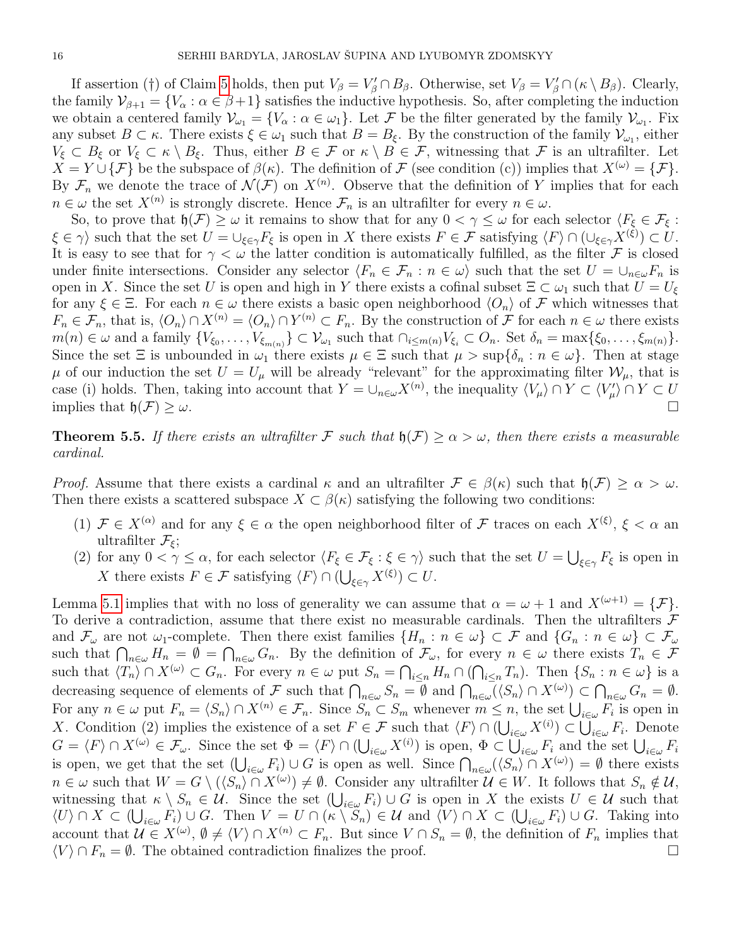If assertion (†) of Claim [5](#page-13-0) holds, then put  $V_{\beta} = V_{\beta}' \cap B_{\beta}$ . Otherwise, set  $V_{\beta} = V_{\beta}' \cap (\kappa \setminus B_{\beta})$ . Clearly, the family  $\mathcal{V}_{\beta+1} = \{V_\alpha : \alpha \in \beta+1\}$  satisfies the inductive hypothesis. So, after completing the induction we obtain a centered family  $\mathcal{V}_{\omega_1} = \{V_\alpha : \alpha \in \omega_1\}$ . Let F be the filter generated by the family  $\mathcal{V}_{\omega_1}$ . Fix any subset  $B \subset \kappa$ . There exists  $\xi \in \omega_1$  such that  $B = B_{\xi}$ . By the construction of the family  $\mathcal{V}_{\omega_1}$ , either  $V_{\xi} \subset B_{\xi}$  or  $V_{\xi} \subset \kappa \setminus B_{\xi}$ . Thus, either  $B \in \mathcal{F}$  or  $\kappa \setminus B \in \mathcal{F}$ , witnessing that  $\mathcal{F}$  is an ultrafilter. Let  $X = Y \cup {\mathcal{F}}$  be the subspace of  $\beta(\kappa)$ . The definition of F (see condition (c)) implies that  $X^{(\omega)} = {\mathcal{F}}$ . By  $\mathcal{F}_n$  we denote the trace of  $\mathcal{N}(\mathcal{F})$  on  $X^{(n)}$ . Observe that the definition of Y implies that for each  $n \in \omega$  the set  $X^{(n)}$  is strongly discrete. Hence  $\mathcal{F}_n$  is an ultrafilter for every  $n \in \omega$ .

So, to prove that  $\mathfrak{h}(\mathcal{F}) \geq \omega$  it remains to show that for any  $0 < \gamma \leq \omega$  for each selector  $\langle F_{\xi} \in \mathcal{F}_{\xi}$ :  $\xi \in \gamma$  such that the set  $U = \bigcup_{\xi \in \gamma} F_{\xi}$  is open in X there exists  $F \in \mathcal{F}$  satisfying  $\langle F \rangle \cap (\bigcup_{\xi \in \gamma} X^{(\xi)}) \subset U$ . It is easy to see that for  $\gamma < \omega$  the latter condition is automatically fulfilled, as the filter F is closed under finite intersections. Consider any selector  $\langle F_n \in \mathcal{F}_n : n \in \omega \rangle$  such that the set  $U = \cup_{n \in \omega} F_n$  is open in X. Since the set U is open and high in Y there exists a cofinal subset  $\Xi \subset \omega_1$  such that  $U = U_{\xi}$ for any  $\xi \in \Xi$ . For each  $n \in \omega$  there exists a basic open neighborhood  $\langle O_n \rangle$  of F which witnesses that  $F_n \in \mathcal{F}_n$ , that is,  $\langle O_n \rangle \cap X^{(n)} = \langle O_n \rangle \cap Y^{(n)} \subset F_n$ . By the construction of  $\mathcal F$  for each  $n \in \omega$  there exists  $m(n) \in \omega$  and a family  $\{V_{\xi_0}, \ldots, V_{\xi_{m(n)}}\} \subset \mathcal{V}_{\omega_1}$  such that  $\cap_{i \leq m(n)} V_{\xi_i} \subset O_n$ . Set  $\delta_n = \max\{\xi_0, \ldots, \xi_{m(n)}\}.$ Since the set  $\Xi$  is unbounded in  $\omega_1$  there exists  $\mu \in \Xi$  such that  $\mu > \sup\{\delta_n : n \in \omega\}$ . Then at stage  $\mu$  of our induction the set  $U = U_{\mu}$  will be already "relevant" for the approximating filter  $\mathcal{W}_{\mu}$ , that is case (i) holds. Then, taking into account that  $Y = \bigcup_{n \in \omega} X^{(n)}$ , the inequality  $\langle V_{\mu} \rangle \cap Y \subset \langle V_{\mu}' \rangle \cap Y \subset U$ implies that  $\mathfrak{h}(\mathcal{F}) \geq \omega$ .

**Theorem 5.5.** If there exists an ultrafilter F such that  $h(\mathcal{F}) > \alpha > \omega$ , then there exists a measurable cardinal.

*Proof.* Assume that there exists a cardinal  $\kappa$  and an ultrafilter  $\mathcal{F} \in \beta(\kappa)$  such that  $\mathfrak{h}(\mathcal{F}) \geq \alpha > \omega$ . Then there exists a scattered subspace  $X \subset \beta(\kappa)$  satisfying the following two conditions:

- (1)  $\mathcal{F} \in X^{(\alpha)}$  and for any  $\xi \in \alpha$  the open neighborhood filter of  $\mathcal{F}$  traces on each  $X^{(\xi)}$ ,  $\xi < \alpha$  and ultrafilter  $\mathcal{F}_{\varepsilon}$ ;
- (2) for any  $0 < \gamma \leq \alpha$ , for each selector  $\langle F_{\xi} \in \mathcal{F}_{\xi} : \xi \in \gamma \rangle$  such that the set  $U = \bigcup_{\xi \in \gamma} F_{\xi}$  is open in X there exists  $F \in \mathcal{F}$  satisfying  $\langle F \rangle \cap (\bigcup_{\xi \in \gamma} X^{(\xi)}) \subset U$ .

Lemma [5.1](#page-12-0) implies that with no loss of generality we can assume that  $\alpha = \omega + 1$  and  $X^{(\omega+1)} = {\mathcal{F}}$ . To derive a contradiction, assume that there exist no measurable cardinals. Then the ultrafilters  $\mathcal F$ and  $\mathcal{F}_{\omega}$  are not  $\omega_1$ -complete. Then there exist families  $\{H_n : n \in \omega\} \subset \mathcal{F}$  and  $\{G_n : n \in \omega\} \subset \mathcal{F}_{\omega}$ such that  $\bigcap_{n\in\omega}H_n=\emptyset=\bigcap_{n\in\omega}G_n$ . By the definition of  $\mathcal{F}_{\omega}$ , for every  $n\in\omega$  there exists  $T_n\in\mathcal{F}$ such that  $\langle T_n \rangle \cap X^{(\omega)} \subset G_n$ . For every  $n \in \omega$  put  $S_n = \bigcap_{i \leq n} H_n \cap (\bigcap_{i \leq n} T_n)$ . Then  $\{S_n : n \in \omega\}$  is a decreasing sequence of elements of F such that  $\bigcap_{n\in\omega}S_n=\emptyset$  and  $\bigcap_{n\in\omega}(\langle S_n\rangle\cap X^{(\omega)})\subset\bigcap_{n\in\omega}G_n=\emptyset$ . For any  $n \in \omega$  put  $F_n = \langle S_n \rangle \cap X^{(n)} \in \mathcal{F}_n$ . Since  $S_n \subset S_m$  whenever  $m \leq n$ , the set  $\bigcup_{i \in \omega} F_i$  is open in X. Condition (2) implies the existence of a set  $F \in \mathcal{F}$  such that  $\langle F \rangle \cap (\bigcup_{i \in \omega} X^{(i)}) \subset \bigcup_{i \in \omega} F_i$ . Denote  $G = \langle F \rangle \cap X^{(\omega)} \in \mathcal{F}_{\omega}$ . Since the set  $\Phi = \langle F \rangle \cap (\bigcup_{i \in \omega} X^{(i)})$  is open,  $\Phi \subset \bigcup_{i \in \omega} F_i$  and the set  $\bigcup_{i \in \omega} F_i$ is open, we get that the set  $(\bigcup_{i\in\omega} F_i) \cup G$  is open as well. Since  $\bigcap_{n\in\omega} (\langle S_n \rangle \cap X^{(\omega)}) = \emptyset$  there exists  $n \in \omega$  such that  $W = G \setminus (\langle S_n \rangle \cap X^{(\omega)}) \neq \emptyset$ . Consider any ultrafilter  $\mathcal{U} \in W$ . It follows that  $S_n \notin \mathcal{U}$ , witnessing that  $\kappa \setminus S_n \in \mathcal{U}$ . Since the set  $(\bigcup_{i \in \omega} F_i) \cup G$  is open in X the exists  $U \in \mathcal{U}$  such that  $\langle U \rangle \cap X \subset (\bigcup_{i \in \omega} F_i) \cup G$ . Then  $V = U \cap (\kappa \setminus S_n) \in \mathcal{U}$  and  $\langle V \rangle \cap X \subset (\bigcup_{i \in \omega} F_i) \cup G$ . Taking into account that  $\mathcal{U} \in X^{(\omega)}, \emptyset \neq \langle V \rangle \cap X^{(n)} \subset F_n$ . But since  $V \cap S_n = \emptyset$ , the definition of  $F_n$  implies that  $\langle V \rangle \cap F_n = \emptyset$ . The obtained contradiction finalizes the proof.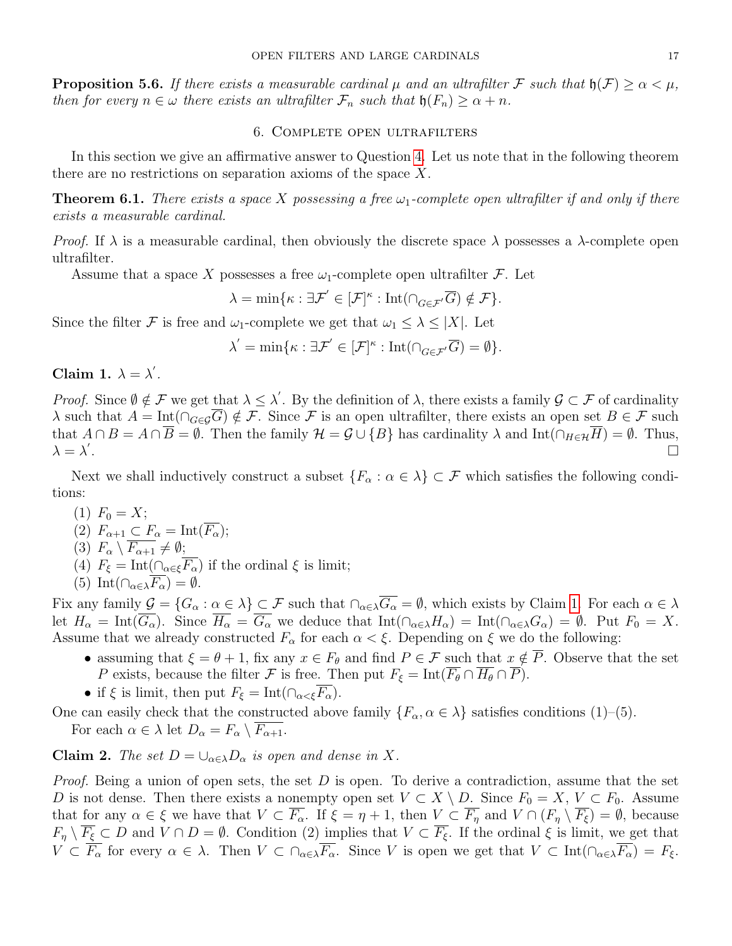**Proposition 5.6.** If there exists a measurable cardinal  $\mu$  and an ultrafilter F such that  $\mathfrak{h}(\mathcal{F}) \geq \alpha < \mu$ , then for every  $n \in \omega$  there exists an ultrafilter  $\mathcal{F}_n$  such that  $\mathfrak{h}(F_n) \geq \alpha + n$ .

#### 6. Complete open ultrafilters

In this section we give an affirmative answer to Question [4.](#page-1-4) Let us note that in the following theorem there are no restrictions on separation axioms of the space X.

<span id="page-16-1"></span>**Theorem 6.1.** There exists a space X possessing a free  $\omega_1$ -complete open ultrafilter if and only if there exists a measurable cardinal.

*Proof.* If  $\lambda$  is a measurable cardinal, then obviously the discrete space  $\lambda$  possesses a  $\lambda$ -complete open ultrafilter.

Assume that a space X possesses a free  $\omega_1$ -complete open ultrafilter  $\mathcal{F}$ . Let

$$
\lambda = \min \{ \kappa : \exists \mathcal{F}' \in [\mathcal{F}]^{\kappa} : \mathrm{Int}(\cap_{G \in \mathcal{F}'} \overline{G}) \notin \mathcal{F} \}.
$$

Since the filter F is free and  $\omega_1$ -complete we get that  $\omega_1 \leq \lambda \leq |X|$ . Let

$$
\lambda^{'}=\min\{\kappa: \exists \mathcal{F}^{'}\in [\mathcal{F}]^{\kappa}: \mathrm{Int}(\cap_{G\in \mathcal{F}^{'}}\overline{G})=\emptyset\}.
$$

<span id="page-16-0"></span>Claim 1.  $\lambda = \lambda'$ .

Proof. Since  $\emptyset \notin \mathcal{F}$  we get that  $\lambda \leq \lambda'$ . By the definition of  $\lambda$ , there exists a family  $\mathcal{G} \subset \mathcal{F}$  of cardinality  $\lambda$  such that  $A = \text{Int}(\bigcap_{G \in \mathcal{G}} \overline{G}) \notin \mathcal{F}$ . Since F is an open ultrafilter, there exists an open set  $B \in \mathcal{F}$  such that  $A \cap B = A \cap \overline{B} = \emptyset$ . Then the family  $\mathcal{H} = \mathcal{G} \cup \{B\}$  has cardinality  $\lambda$  and  $Int(\bigcap_{H \in \mathcal{H}} \overline{H}) = \emptyset$ . Thus,  $\lambda = \lambda'$ . The contract of the contract of the contract of the contract of the contract of the contract of  $\Box$ 

Next we shall inductively construct a subset  $\{F_{\alpha}: \alpha \in \lambda\} \subset \mathcal{F}$  which satisfies the following conditions:

- (1)  $F_0 = X$ ;
- (2)  $F_{\alpha+1} \subset F_{\alpha} = \text{Int}(\overline{F_{\alpha}});$
- (3)  $F_{\alpha} \setminus \overline{F_{\alpha+1}} \neq \emptyset;$
- (4)  $F_{\xi} = \text{Int}(\bigcap_{\alpha \in \xi} \overline{F_{\alpha}})$  if the ordinal  $\xi$  is limit;
- (5) Int $(\bigcap_{\alpha \in \lambda} \overline{F_{\alpha}}) = \emptyset$ .

Fix any family  $\mathcal{G} = \{G_\alpha : \alpha \in \lambda\} \subset \mathcal{F}$  such that  $\cap_{\alpha \in \lambda} \overline{G_\alpha} = \emptyset$ , which exists by Claim [1.](#page-16-0) For each  $\alpha \in \lambda$ let  $H_{\alpha} = \text{Int}(\overline{G_{\alpha}})$ . Since  $\overline{H_{\alpha}} = \overline{G_{\alpha}}$  we deduce that  $\text{Int}(\cap_{\alpha \in \lambda} H_{\alpha}) = \text{Int}(\cap_{\alpha \in \lambda} G_{\alpha}) = \emptyset$ . Put  $F_0 = X$ . Assume that we already constructed  $F_{\alpha}$  for each  $\alpha < \xi$ . Depending on  $\xi$  we do the following:

- assuming that  $\xi = \theta + 1$ , fix any  $x \in F_{\theta}$  and find  $P \in \mathcal{F}$  such that  $x \notin \overline{P}$ . Observe that the set P exists, because the filter F is free. Then put  $F_{\xi} = \text{Int}(\overline{F_{\theta}} \cap \overline{H_{\theta}} \cap \overline{P})$ .
- if  $\xi$  is limit, then put  $F_{\xi} = \text{Int}(\bigcap_{\alpha < \xi} \overline{F_{\alpha}}).$

One can easily check that the constructed above family  $\{F_{\alpha}, \alpha \in \lambda\}$  satisfies conditions (1)–(5).

For each  $\alpha \in \lambda$  let  $D_{\alpha} = F_{\alpha} \setminus \overline{F_{\alpha+1}}$ .

**Claim 2.** The set  $D = \bigcup_{\alpha \in \lambda} D_{\alpha}$  is open and dense in X.

*Proof.* Being a union of open sets, the set  $D$  is open. To derive a contradiction, assume that the set D is not dense. Then there exists a nonempty open set  $V \subset X \setminus D$ . Since  $F_0 = X, V \subset F_0$ . Assume that for any  $\alpha \in \xi$  we have that  $V \subset \overline{F_{\alpha}}$ . If  $\xi = \eta + 1$ , then  $V \subset \overline{F_{\eta}}$  and  $V \cap (F_{\eta} \setminus \overline{F_{\xi}}) = \emptyset$ , because  $F_{\eta} \setminus \overline{F_{\xi}} \subset D$  and  $V \cap D = \emptyset$ . Condition (2) implies that  $V \subset \overline{F_{\xi}}$ . If the ordinal  $\xi$  is limit, we get that  $V \subset \overline{F_{\alpha}}$  for every  $\alpha \in \lambda$ . Then  $V \subset \bigcap_{\alpha \in \lambda} \overline{F_{\alpha}}$ . Since V is open we get that  $V \subset \text{Int}(\bigcap_{\alpha \in \lambda} \overline{F_{\alpha}}) = F_{\xi}$ .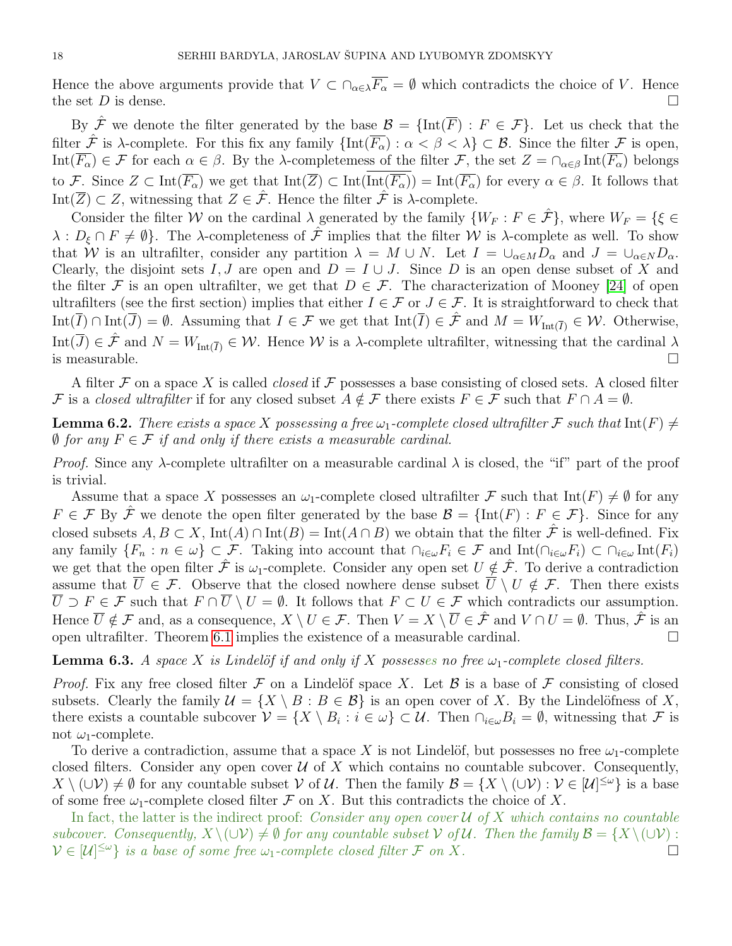Hence the above arguments provide that  $V \subset \bigcap_{\alpha \in \lambda} \overline{F_{\alpha}} = \emptyset$  which contradicts the choice of V. Hence the set  $D$  is dense.

By  $\hat{\mathcal{F}}$  we denote the filter generated by the base  $\mathcal{B} = {\text{Int}}(\overline{F}) : F \in \mathcal{F}$ . Let us check that the filter  $\hat{\mathcal{F}}$  is  $\lambda$ -complete. For this fix any family  $\{\text{Int}(\overline{F_{\alpha}}) : \alpha < \beta < \lambda\} \subset \mathcal{B}$ . Since the filter  $\mathcal F$  is open, Int $(\overline{F_{\alpha}}) \in \mathcal{F}$  for each  $\alpha \in \beta$ . By the  $\lambda$ -completeness of the filter  $\mathcal{F}$ , the set  $Z = \bigcap_{\alpha \in \beta} \text{Int}(\overline{F_{\alpha}})$  belongs to F. Since  $Z \subset \text{Int}(\overline{F_{\alpha}})$  we get that  $\text{Int}(\overline{Z}) \subset \text{Int}(\overline{\text{Int}(\overline{F_{\alpha}})}) = \text{Int}(\overline{F_{\alpha}})$  for every  $\alpha \in \beta$ . It follows that Int( $\overline{Z}$ )  $\subset Z$ , witnessing that  $Z \in \hat{\mathcal{F}}$ . Hence the filter  $\hat{\mathcal{F}}$  is  $\lambda$ -complete.

Consider the filter W on the cardinal  $\lambda$  generated by the family  $\{W_F : F \in \mathcal{F}\}\,$ , where  $W_F = \{\xi \in$  $\lambda : D_{\xi} \cap F \neq \emptyset$ . The  $\lambda$ -completeness of  $\hat{\mathcal{F}}$  implies that the filter W is  $\lambda$ -complete as well. To show that W is an ultrafilter, consider any partition  $\lambda = M \cup N$ . Let  $I = \bigcup_{\alpha \in M} D_{\alpha}$  and  $J = \bigcup_{\alpha \in N} D_{\alpha}$ . Clearly, the disjoint sets I, J are open and  $D = I \cup J$ . Since D is an open dense subset of X and the filter F is an open ultrafilter, we get that  $D \in \mathcal{F}$ . The characterization of Mooney [\[24\]](#page-20-11) of open ultrafilters (see the first section) implies that either  $I \in \mathcal{F}$  or  $J \in \mathcal{F}$ . It is straightforward to check that Int( $\overline{I}$ ) ∩ Int( $\overline{J}$ ) =  $\emptyset$ . Assuming that  $I \in \mathcal{F}$  we get that Int( $\overline{I}$ )  $\in \hat{\mathcal{F}}$  and  $M = W_{\text{Int}(\overline{I})} \in \mathcal{W}$ . Otherwise, Int $(\overline{J}) \in \hat{\mathcal{F}}$  and  $N = W_{\text{Int}}(\overline{I}) \in \mathcal{W}$ . Hence W is a  $\lambda$ -complete ultrafilter, witnessing that the cardinal  $\lambda$ is measurable.  $\Box$ 

A filter  $\mathcal F$  on a space X is called *closed* if  $\mathcal F$  possesses a base consisting of closed sets. A closed filter F is a closed ultrafilter if for any closed subset  $A \notin \mathcal{F}$  there exists  $F \in \mathcal{F}$  such that  $F \cap A = \emptyset$ .

<span id="page-17-0"></span>**Lemma 6.2.** There exists a space X possessing a free  $\omega_1$ -complete closed ultrafilter F such that  $Int(F) \neq$  $\emptyset$  for any  $F \in \mathcal{F}$  if and only if there exists a measurable cardinal.

*Proof.* Since any  $\lambda$ -complete ultrafilter on a measurable cardinal  $\lambda$  is closed, the "if" part of the proof is trivial.

Assume that a space X possesses an  $\omega_1$ -complete closed ultrafilter F such that Int(F)  $\neq \emptyset$  for any  $F \in \mathcal{F}$  By  $\hat{\mathcal{F}}$  we denote the open filter generated by the base  $\mathcal{B} = \{\text{Int}(F) : F \in \mathcal{F}\}\.$  Since for any closed subsets  $A, B \subset X$ , Int(A) ∩ Int(B) = Int(A ∩ B) we obtain that the filter  $\hat{\mathcal{F}}$  is well-defined. Fix any family  $\{F_n : n \in \omega\} \subset \mathcal{F}$ . Taking into account that  $\bigcap_{i \in \omega} F_i \in \mathcal{F}$  and  $\mathrm{Int}(\bigcap_{i \in \omega} F_i) \subset \bigcap_{i \in \omega} \mathrm{Int}(F_i)$ we get that the open filter  $\hat{\mathcal{F}}$  is  $\omega_1$ -complete. Consider any open set  $U \notin \hat{\mathcal{F}}$ . To derive a contradiction assume that  $\overline{U} \in \mathcal{F}$ . Observe that the closed nowhere dense subset  $\overline{U} \setminus U \notin \mathcal{F}$ . Then there exists  $\overline{U} \supset F \in \mathcal{F}$  such that  $F \cap \overline{U} \setminus U = \emptyset$ . It follows that  $F \subset U \in \mathcal{F}$  which contradicts our assumption. Hence  $\overline{U} \notin \mathcal{F}$  and, as a consequence,  $X \setminus U \in \mathcal{F}$ . Then  $V = X \setminus \overline{U} \in \hat{\mathcal{F}}$  and  $V \cap U = \emptyset$ . Thus,  $\hat{\mathcal{F}}$  is an open ultrafilter. Theorem [6.1](#page-16-1) implies the existence of a measurable cardinal.

**Lemma 6.3.** A space X is Lindelöf if and only if X possesses no free  $\omega_1$ -complete closed filters.

*Proof.* Fix any free closed filter F on a Lindelöf space X. Let B is a base of F consisting of closed subsets. Clearly the family  $\mathcal{U} = \{X \setminus B : B \in \mathcal{B}\}\$ is an open cover of X. By the Lindelöfness of X, there exists a countable subcover  $\mathcal{V} = \{X \setminus B_i : i \in \omega\} \subset \mathcal{U}$ . Then  $\cap_{i \in \omega} B_i = \emptyset$ , witnessing that  $\mathcal{F}$  is not  $\omega_1$ -complete.

To derive a contradiction, assume that a space X is not Lindelöf, but possesses no free  $\omega_1$ -complete closed filters. Consider any open cover  $U$  of X which contains no countable subcover. Consequently,  $X \setminus (\cup \mathcal{V}) \neq \emptyset$  for any countable subset  $\mathcal V$  of  $\mathcal U$ . Then the family  $\mathcal B = \{X \setminus (\cup \mathcal{V}) : \mathcal V \in [\mathcal{U}]^{\leq \omega}\}$  is a base of some free  $\omega_1$ -complete closed filter F on X. But this contradicts the choice of X.

In fact, the latter is the indirect proof: Consider any open cover  $\mathcal U$  of X which contains no countable subcover. Consequently,  $X \setminus (\cup \mathcal{V}) \neq \emptyset$  for any countable subset  $\mathcal{V}$  of  $\mathcal{U}$ . Then the family  $\mathcal{B} = \{X \setminus (\cup \mathcal{V}) :$  $\mathcal{V} \in [\mathcal{U}]^{\leq \omega}$  is a base of some free  $\omega_1$ -complete closed filter F on X.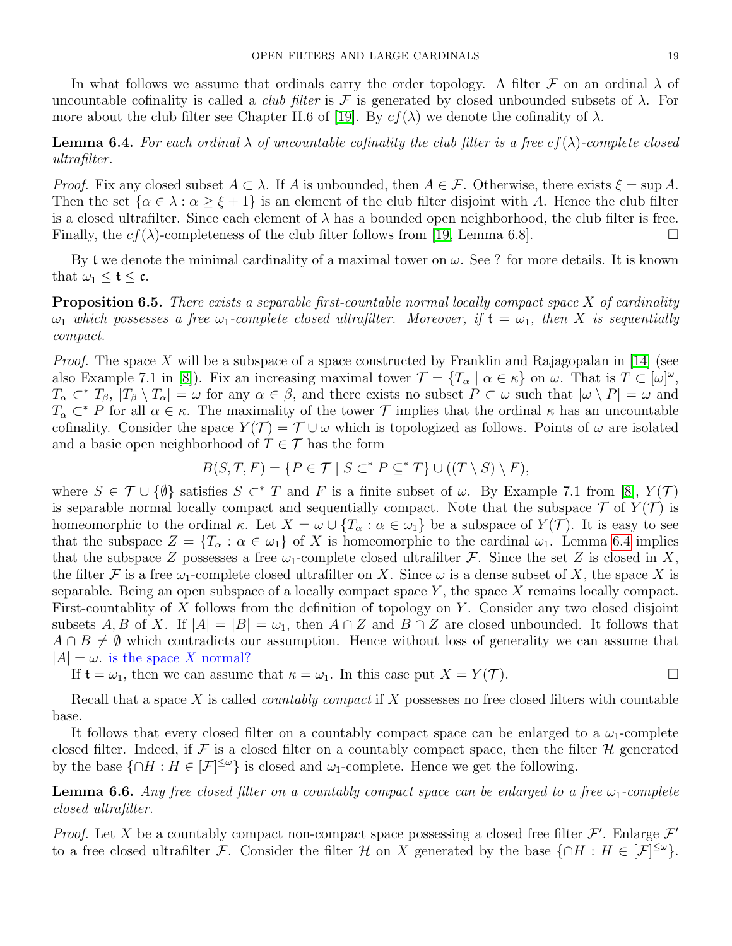In what follows we assume that ordinals carry the order topology. A filter  $\mathcal F$  on an ordinal  $\lambda$  of uncountable cofinality is called a *club filter* is  $\mathcal F$  is generated by closed unbounded subsets of  $\lambda$ . For more about the club filter see Chapter II.6 of [\[19\]](#page-20-1). By  $cf(\lambda)$  we denote the cofinality of  $\lambda$ .

<span id="page-18-0"></span>**Lemma 6.4.** For each ordinal  $\lambda$  of uncountable cofinality the club filter is a free cf( $\lambda$ )-complete closed ultrafilter.

*Proof.* Fix any closed subset  $A \subset \lambda$ . If A is unbounded, then  $A \in \mathcal{F}$ . Otherwise, there exists  $\xi = \sup A$ . Then the set  $\{\alpha \in \lambda : \alpha \geq \xi + 1\}$  is an element of the club filter disjoint with A. Hence the club filter is a closed ultrafilter. Since each element of  $\lambda$  has a bounded open neighborhood, the club filter is free. Finally, the  $cf(\lambda)$ -completeness of the club filter follows from [\[19,](#page-20-1) Lemma 6.8].

By t we denote the minimal cardinality of a maximal tower on  $\omega$ . See ? for more details. It is known that  $\omega_1 \leq \mathfrak{t} \leq \mathfrak{c}$ .

**Proposition 6.5.** There exists a separable first-countable normal locally compact space  $X$  of cardinality  $\omega_1$  which possesses a free  $\omega_1$ -complete closed ultrafilter. Moreover, if  $\mathfrak{t} = \omega_1$ , then X is sequentially compact.

*Proof.* The space X will be a subspace of a space constructed by Franklin and Rajagopalan in [\[14\]](#page-20-23) (see also Example 7.1 in [\[8\]](#page-20-24)). Fix an increasing maximal tower  $\mathcal{T} = \{T_\alpha \mid \alpha \in \kappa\}$  on  $\omega$ . That is  $T \subset [\omega]^\omega$ ,  $T_{\alpha} \subset T_{\beta}$ ,  $|T_{\beta} \setminus T_{\alpha}| = \omega$  for any  $\alpha \in \beta$ , and there exists no subset  $P \subset \omega$  such that  $|\omega \setminus P| = \omega$  and  $T_{\alpha} \subset F$  for all  $\alpha \in \kappa$ . The maximality of the tower  $\mathcal T$  implies that the ordinal  $\kappa$  has an uncountable cofinality. Consider the space  $Y(T) = T \cup \omega$  which is topologized as follows. Points of  $\omega$  are isolated and a basic open neighborhood of  $T \in \mathcal{T}$  has the form

$$
B(S,T,F) = \{ P \in \mathcal{T} \mid S \subset^* P \subseteq^* T \} \cup ((T \setminus S) \setminus F),
$$

where  $S \in \mathcal{T} \cup \{\emptyset\}$  satisfies  $S \subset^* T$  and F is a finite subset of  $\omega$ . By Example 7.1 from [\[8\]](#page-20-24),  $Y(\mathcal{T})$ is separable normal locally compact and sequentially compact. Note that the subspace  $\mathcal T$  of  $Y(\mathcal T)$  is homeomorphic to the ordinal  $\kappa$ . Let  $X = \omega \cup \{T_\alpha : \alpha \in \omega_1\}$  be a subspace of  $Y(\mathcal{T})$ . It is easy to see that the subspace  $Z = \{T_\alpha : \alpha \in \omega_1\}$  of X is homeomorphic to the cardinal  $\omega_1$ . Lemma [6.4](#page-18-0) implies that the subspace Z possesses a free  $\omega_1$ -complete closed ultrafilter F. Since the set Z is closed in X, the filter F is a free  $\omega_1$ -complete closed ultrafilter on X. Since  $\omega$  is a dense subset of X, the space X is separable. Being an open subspace of a locally compact space  $Y$ , the space  $X$  remains locally compact. First-countablity of X follows from the definition of topology on Y. Consider any two closed disjoint subsets A, B of X. If  $|A| = |B| = \omega_1$ , then  $A \cap Z$  and  $B \cap Z$  are closed unbounded. It follows that  $A \cap B \neq \emptyset$  which contradicts our assumption. Hence without loss of generality we can assume that  $|A| = \omega$ . is the space X normal?

If  $\mathfrak{t} = \omega_1$ , then we can assume that  $\kappa = \omega_1$ . In this case put  $X = Y(\mathcal{T})$ .

Recall that a space  $X$  is called *countably compact* if  $X$  possesses no free closed filters with countable base.

It follows that every closed filter on a countably compact space can be enlarged to a  $\omega_1$ -complete closed filter. Indeed, if  $\mathcal F$  is a closed filter on a countably compact space, then the filter  $\mathcal H$  generated by the base  $\{\cap H : H \in [\mathcal{F}]^{\leq \omega}\}\$ is closed and  $\omega_1$ -complete. Hence we get the following.

<span id="page-18-1"></span>**Lemma 6.6.** Any free closed filter on a countably compact space can be enlarged to a free  $\omega_1$ -complete closed ultrafilter.

*Proof.* Let X be a countably compact non-compact space possessing a closed free filter  $\mathcal{F}'$ . Enlarge  $\mathcal{F}'$ to a free closed ultrafilter F. Consider the filter H on X generated by the base  $\{\cap H : H \in [\mathcal{F}]^{\leq \omega}\}.$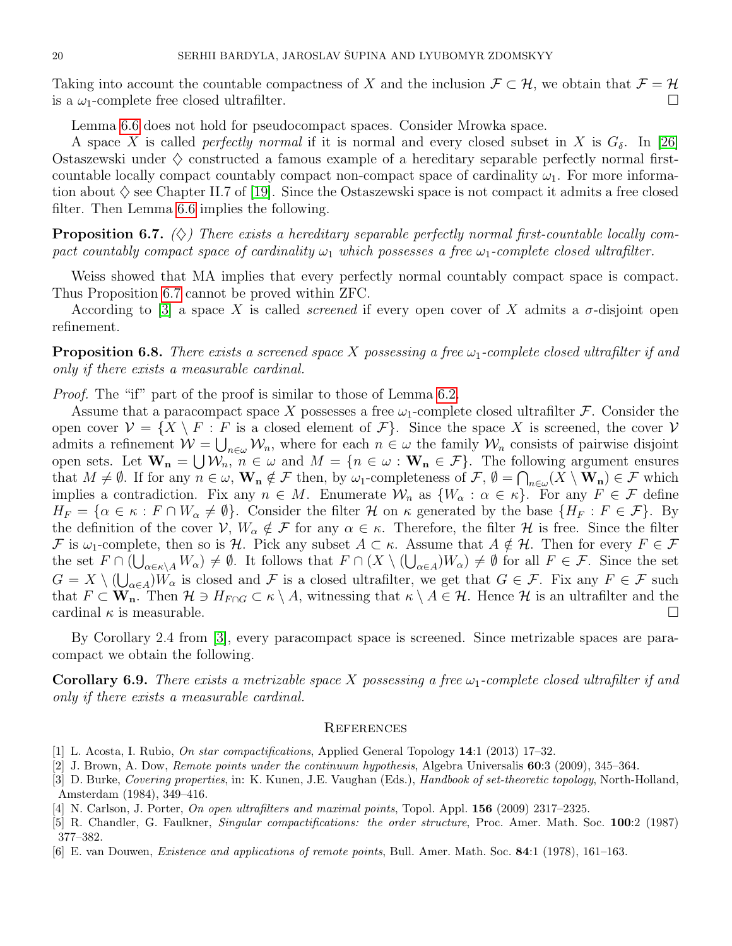Taking into account the countable compactness of X and the inclusion  $\mathcal{F} \subset \mathcal{H}$ , we obtain that  $\mathcal{F} = \mathcal{H}$ is a  $\omega_1$ -complete free closed ultrafilter.

Lemma [6.6](#page-18-1) does not hold for pseudocompact spaces. Consider Mrowka space.

A space X is called *perfectly normal* if it is normal and every closed subset in X is  $G_{\delta}$ . In [\[26\]](#page-20-25) Ostaszewski under  $\diamondsuit$  constructed a famous example of a hereditary separable perfectly normal firstcountable locally compact countably compact non-compact space of cardinality  $\omega_1$ . For more information about  $\diamondsuit$  see Chapter II.7 of [\[19\]](#page-20-1). Since the Ostaszewski space is not compact it admits a free closed filter. Then Lemma [6.6](#page-18-1) implies the following.

<span id="page-19-4"></span>**Proposition 6.7.** ( $\diamondsuit$ ) There exists a hereditary separable perfectly normal first-countable locally compact countably compact space of cardinality  $\omega_1$  which possesses a free  $\omega_1$ -complete closed ultrafilter.

Weiss showed that MA implies that every perfectly normal countably compact space is compact. Thus Proposition [6.7](#page-19-4) cannot be proved within ZFC.

According to [\[3\]](#page-19-5) a space X is called *screened* if every open cover of X admits a  $\sigma$ -disjoint open refinement.

**Proposition 6.8.** There exists a screened space X possessing a free  $\omega_1$ -complete closed ultrafilter if and only if there exists a measurable cardinal.

Proof. The "if" part of the proof is similar to those of Lemma [6.2.](#page-17-0)

Assume that a paracompact space X possesses a free  $\omega_1$ -complete closed ultrafilter F. Consider the open cover  $\mathcal{V} = \{X \setminus F : F$  is a closed element of  $\mathcal{F}\}$ . Since the space X is screened, the cover  $\mathcal{V}$ admits a refinement  $W = \bigcup_{n \in \omega} W_n$ , where for each  $n \in \omega$  the family  $W_n$  consists of pairwise disjoint open sets. Let  $\mathbf{W}_{n} = \bigcup \mathcal{W}_{n}$ ,  $n \in \omega$  and  $M = \{n \in \omega : \mathbf{W}_{n} \in \mathcal{F}\}$ . The following argument ensures that  $M \neq \emptyset$ . If for any  $n \in \omega$ ,  $\mathbf{W}_{\mathbf{n}} \notin \mathcal{F}$  then, by  $\omega_1$ -completeness of  $\mathcal{F}, \emptyset = \bigcap_{n \in \omega} (X \setminus \mathbf{W}_{\mathbf{n}}) \in \mathcal{F}$  which implies a contradiction. Fix any  $n \in M$ . Enumerate  $\mathcal{W}_n$  as  $\{W_\alpha : \alpha \in \kappa\}$ . For any  $F \in \mathcal{F}$  define  $H_F = \{ \alpha \in \kappa : F \cap W_\alpha \neq \emptyset \}.$  Consider the filter H on  $\kappa$  generated by the base  $\{H_F : F \in \mathcal{F}\}\.$  By the definition of the cover  $\mathcal{V}, W_{\alpha} \notin \mathcal{F}$  for any  $\alpha \in \kappa$ . Therefore, the filter  $\mathcal{H}$  is free. Since the filter F is  $\omega_1$ -complete, then so is H. Pick any subset  $A \subset \kappa$ . Assume that  $A \notin \mathcal{H}$ . Then for every  $F \in \mathcal{F}$ the set  $F \cap (\bigcup_{\alpha \in \kappa \setminus A} W_{\alpha}) \neq \emptyset$ . It follows that  $F \cap (X \setminus (\bigcup_{\alpha \in A} W_{\alpha}) \neq \emptyset$  for all  $F \in \mathcal{F}$ . Since the set  $G = X \setminus (\bigcup_{\alpha \in A} W_{\alpha}$  is closed and F is a closed ultrafilter, we get that  $G \in \mathcal{F}$ . Fix any  $F \in \mathcal{F}$  such that  $F \subset \mathbf{W}_n$ . Then  $\mathcal{H} \ni H_{F \cap G} \subset \kappa \setminus A$ , witnessing that  $\kappa \setminus A \in \mathcal{H}$ . Hence  $\mathcal{H}$  is an ultrafilter and the cardinal  $\kappa$  is measurable.

By Corollary 2.4 from [\[3\]](#page-19-5), every paracompact space is screened. Since metrizable spaces are paracompact we obtain the following.

**Corollary 6.9.** There exists a metrizable space X possessing a free  $\omega_1$ -complete closed ultrafilter if and only if there exists a measurable cardinal.

### **REFERENCES**

- [1] L. Acosta, I. Rubio, On star compactifications, Applied General Topology 14:1 (2013) 17–32.
- <span id="page-19-3"></span>[2] J. Brown, A. Dow, *Remote points under the continuum hypothesis*, Algebra Universalis  $60:3$  (2009), 345–364.
- <span id="page-19-5"></span>[3] D. Burke, Covering properties, in: K. Kunen, J.E. Vaughan (Eds.), Handbook of set-theoretic topology, North-Holland, Amsterdam (1984), 349–416.
- <span id="page-19-1"></span>[4] N. Carlson, J. Porter, On open ultrafilters and maximal points, Topol. Appl. 156 (2009) 2317–2325.
- <span id="page-19-0"></span>[5] R. Chandler, G. Faulkner, Singular compactifications: the order structure, Proc. Amer. Math. Soc. 100:2 (1987) 377–382.
- <span id="page-19-2"></span>[6] E. van Douwen, Existence and applications of remote points, Bull. Amer. Math. Soc. 84:1 (1978), 161–163.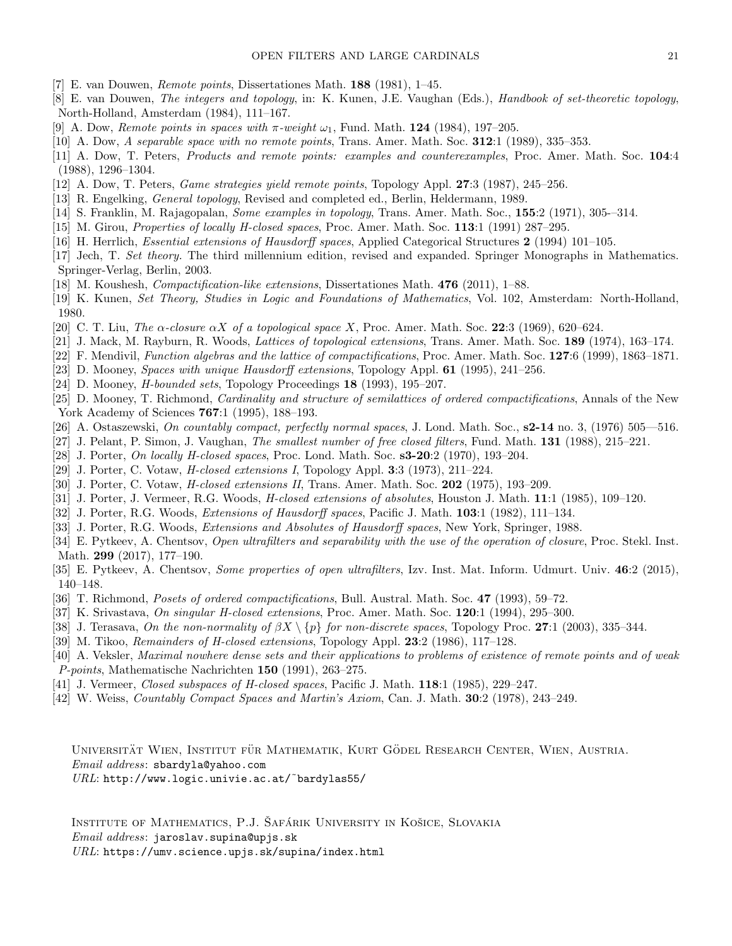- <span id="page-20-15"></span>[7] E. van Douwen, Remote points, Dissertationes Math. 188 (1981), 1–45.
- <span id="page-20-24"></span>[8] E. van Douwen, The integers and topology, in: K. Kunen, J.E. Vaughan (Eds.), Handbook of set-theoretic topology, North-Holland, Amsterdam (1984), 111–167.
- <span id="page-20-16"></span>[9] A. Dow, *Remote points in spaces with*  $\pi$ -weight  $\omega_1$ , Fund. Math. **124** (1984), 197–205.
- <span id="page-20-17"></span>[10] A. Dow, A separable space with no remote points, Trans. Amer. Math. Soc.  $312:1$  (1989), 335–353.
- <span id="page-20-18"></span>[11] A. Dow, T. Peters, *Products and remote points: examples and counterexamples*, Proc. Amer. Math. Soc. 104:4 (1988), 1296–1304.
- <span id="page-20-19"></span>[12] A. Dow, T. Peters, Game strategies yield remote points, Topology Appl. 27:3 (1987), 245–256.
- <span id="page-20-0"></span>[13] R. Engelking, General topology, Revised and completed ed., Berlin, Heldermann, 1989.
- <span id="page-20-23"></span>[14] S. Franklin, M. Rajagopalan, Some examples in topology, Trans. Amer. Math. Soc., 155:2 (1971), 305-–314.
- <span id="page-20-2"></span>[15] M. Girou, *Properties of locally H-closed spaces*, Proc. Amer. Math. Soc. 113:1 (1991) 287–295.
- <span id="page-20-22"></span>[16] H. Herrlich, *Essential extensions of Hausdorff spaces*, Applied Categorical Structures 2 (1994) 101–105.
- [17] Jech, T. Set theory. The third millennium edition, revised and expanded. Springer Monographs in Mathematics. Springer-Verlag, Berlin, 2003.
- [18] M. Koushesh, Compactification-like extensions, Dissertationes Math. 476 (2011), 1–88.
- <span id="page-20-1"></span>[19] K. Kunen, Set Theory, Studies in Logic and Foundations of Mathematics, Vol. 102, Amsterdam: North-Holland, 1980.
- <span id="page-20-12"></span>[20] C. T. Liu, The  $\alpha$ -closure  $\alpha X$  of a topological space X, Proc. Amer. Math. Soc. 22:3 (1969), 620–624.
- [21] J. Mack, M. Rayburn, R. Woods, Lattices of topological extensions, Trans. Amer. Math. Soc. 189 (1974), 163–174.
- [22] F. Mendivil, Function algebras and the lattice of compactifications, Proc. Amer. Math. Soc.  $127:6$  (1999), 1863–1871.
- <span id="page-20-9"></span>[23] D. Mooney, Spaces with unique Hausdorff extensions, Topology Appl. 61 (1995), 241–256.
- <span id="page-20-11"></span>[24] D. Mooney, *H-bounded sets*, Topology Proceedings  $18$  (1993), 195–207.
- [25] D. Mooney, T. Richmond, Cardinality and structure of semilattices of ordered compactifications, Annals of the New York Academy of Sciences 767:1 (1995), 188–193.
- <span id="page-20-25"></span>[26] A. Ostaszewski, On countably compact, perfectly normal spaces, J. Lond. Math. Soc., s2-14 no. 3, (1976) 505—516.
- <span id="page-20-10"></span>[27] J. Pelant, P. Simon, J. Vaughan, The smallest number of free closed filters, Fund. Math. 131 (1988), 215–221.
- <span id="page-20-3"></span>[28] J. Porter, *On locally H-closed spaces*, Proc. Lond. Math. Soc. **s3-20**:2 (1970), 193-204.
- <span id="page-20-4"></span>[29] J. Porter, C. Votaw, H-closed extensions I, Topology Appl. 3:3 (1973), 211–224.
- [30] J. Porter, C. Votaw, H-closed extensions II, Trans. Amer. Math. Soc. 202 (1975), 193–209.
- <span id="page-20-5"></span>[31] J. Porter, J. Vermeer, R.G. Woods, *H-closed extensions of absolutes*, Houston J. Math. 11:1 (1985), 109–120.
- <span id="page-20-6"></span>[32] J. Porter, R.G. Woods, *Extensions of Hausdorff spaces*, Pacific J. Math. **103**:1 (1982), 111–134.
- [33] J. Porter, R.G. Woods, *Extensions and Absolutes of Hausdorff spaces*, New York, Springer, 1988.
- <span id="page-20-13"></span>[34] E. Pytkeev, A. Chentsov, Open ultrafilters and separability with the use of the operation of closure, Proc. Stekl. Inst. Math. 299 (2017), 177–190.
- <span id="page-20-14"></span>[35] E. Pytkeev, A. Chentsov, Some properties of open ultrafilters, Izv. Inst. Mat. Inform. Udmurt. Univ. 46:2 (2015), 140–148.
- [36] T. Richmond, *Posets of ordered compactifications*, Bull. Austral. Math. Soc. 47 (1993), 59–72.
- <span id="page-20-7"></span>[37] K. Srivastava, On singular H-closed extensions, Proc. Amer. Math. Soc.  $120:1$  (1994), 295–300.
- <span id="page-20-20"></span>[38] J. Terasava, On the non-normality of  $\beta X \setminus \{p\}$  for non-discrete spaces, Topology Proc. 27:1 (2003), 335–344.
- <span id="page-20-8"></span>[39] M. Tikoo, *Remainders of H-closed extensions*, Topology Appl. **23**:2 (1986), 117–128.
- <span id="page-20-21"></span>[40] A. Veksler, Maximal nowhere dense sets and their applications to problems of existence of remote points and of weak P-points, Mathematische Nachrichten 150 (1991), 263–275.
- [41] J. Vermeer, *Closed subspaces of H-closed spaces*, Pacific J. Math. **118**:1 (1985), 229–247.
- [42] W. Weiss, Countably Compact Spaces and Martin's Axiom, Can. J. Math. 30:2 (1978), 243–249.

UNIVERSITÄT WIEN, INSTITUT FÜR MATHEMATIK, KURT GÖDEL RESEARCH CENTER, WIEN, AUSTRIA. Email address: sbardyla@yahoo.com

 $URL: \text{http://www.logic.univie.ac.at/~bardylas55/})$ 

INSTITUTE OF MATHEMATICS, P.J. ŠAFÁRIK UNIVERSITY IN KOŠICE, SLOVAKIA Email address: jaroslav.supina@upjs.sk  $URL:$  https://umv.science.upjs.sk/supina/index.html